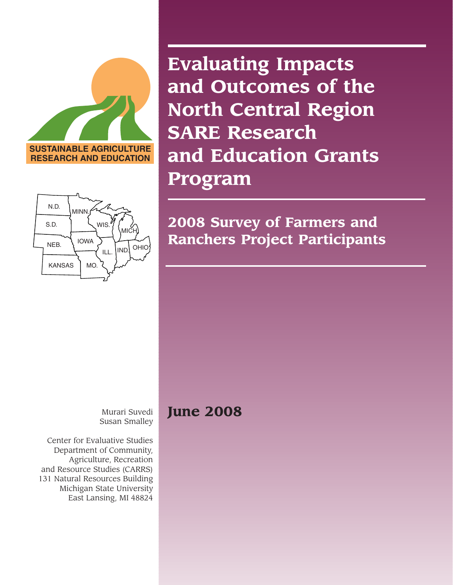

MICH. IND. OHIC **WIS** IOWA ILL. **MINN**  $KANSAS$   $MO$ . NEB. S.D. N.D.

**Evaluating Impacts and Outcomes of the North Central Region SARE Research and Education Grants Program**

**2008 Survey of Farmers and Ranchers Project Participants**

Murari Suvedi Susan Smalley

Center for Evaluative Studies Department of Community, Agriculture, Recreation and Resource Studies (CARRS) 131 Natural Resources Building Michigan State University East Lansing, MI 48824

# **June 2008**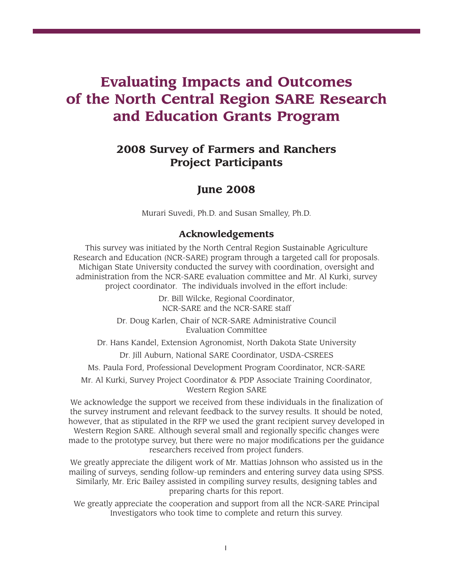# **Evaluating Impacts and Outcomes of the North Central Region SARE Research and Education Grants Program**

## **2008 Survey of Farmers and Ranchers Project Participants**

## **June 2008**

Murari Suvedi, Ph.D. and Susan Smalley, Ph.D.

### **Acknowledgements**

This survey was initiated by the North Central Region Sustainable Agriculture Research and Education (NCR-SARE) program through a targeted call for proposals. Michigan State University conducted the survey with coordination, oversight and administration from the NCR-SARE evaluation committee and Mr. Al Kurki, survey project coordinator. The individuals involved in the effort include:

> Dr. Bill Wilcke, Regional Coordinator, NCR-SARE and the NCR-SARE staff

Dr. Doug Karlen, Chair of NCR-SARE Administrative Council Evaluation Committee

Dr. Hans Kandel, Extension Agronomist, North Dakota State University Dr. Jill Auburn, National SARE Coordinator, USDA-CSREES

Ms. Paula Ford, Professional Development Program Coordinator, NCR-SARE

Mr. Al Kurki, Survey Project Coordinator & PDP Associate Training Coordinator, Western Region SARE

We acknowledge the support we received from these individuals in the finalization of the survey instrument and relevant feedback to the survey results. It should be noted, however, that as stipulated in the RFP we used the grant recipient survey developed in Western Region SARE. Although several small and regionally specific changes were made to the prototype survey, but there were no major modifications per the guidance researchers received from project funders.

We greatly appreciate the diligent work of Mr. Mattias Johnson who assisted us in the mailing of surveys, sending follow-up reminders and entering survey data using SPSS. Similarly, Mr. Eric Bailey assisted in compiling survey results, designing tables and preparing charts for this report.

We greatly appreciate the cooperation and support from all the NCR-SARE Principal Investigators who took time to complete and return this survey.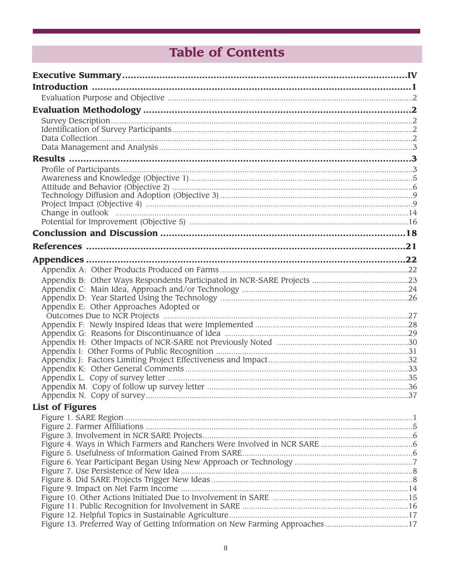# **Table of Contents**

| Appendix E: Other Approaches Adopted or                                      |  |
|------------------------------------------------------------------------------|--|
|                                                                              |  |
|                                                                              |  |
|                                                                              |  |
|                                                                              |  |
|                                                                              |  |
|                                                                              |  |
|                                                                              |  |
|                                                                              |  |
|                                                                              |  |
| <b>List of Figures</b>                                                       |  |
|                                                                              |  |
|                                                                              |  |
|                                                                              |  |
|                                                                              |  |
|                                                                              |  |
|                                                                              |  |
|                                                                              |  |
|                                                                              |  |
|                                                                              |  |
|                                                                              |  |
| Figure 13. Preferred Way of Getting Information on New Farming Approaches 17 |  |
|                                                                              |  |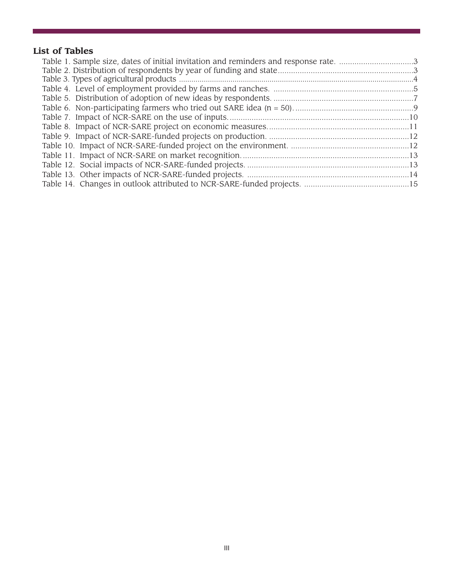## **List of Tables**

| Table 1. Sample size, dates of initial invitation and reminders and response rate. 3 |
|--------------------------------------------------------------------------------------|
|                                                                                      |
|                                                                                      |
|                                                                                      |
|                                                                                      |
|                                                                                      |
|                                                                                      |
|                                                                                      |
|                                                                                      |
|                                                                                      |
|                                                                                      |
|                                                                                      |
|                                                                                      |
|                                                                                      |
|                                                                                      |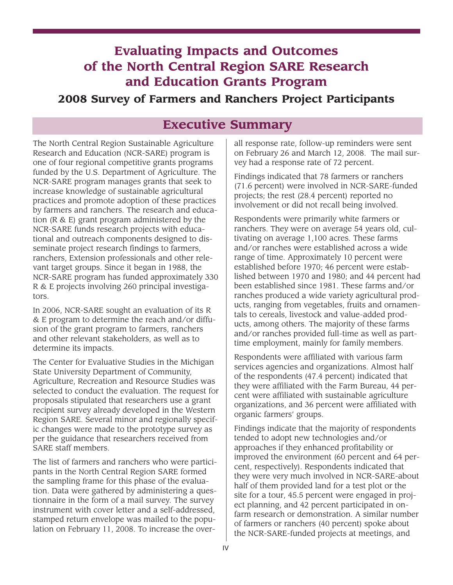# **Evaluating Impacts and Outcomes of the North Central Region SARE Research and Education Grants Program**

## **2008 Survey of Farmers and Ranchers Project Participants**

## **Executive Summary**

The North Central Region Sustainable Agriculture Research and Education (NCR-SARE) program is one of four regional competitive grants programs funded by the U.S. Department of Agriculture. The NCR-SARE program manages grants that seek to increase knowledge of sustainable agricultural practices and promote adoption of these practices by farmers and ranchers. The research and education (R & E) grant program administered by the NCR-SARE funds research projects with educational and outreach components designed to disseminate project research findings to farmers, ranchers, Extension professionals and other relevant target groups. Since it began in 1988, the NCR-SARE program has funded approximately 330 R & E projects involving 260 principal investigators.

In 2006, NCR-SARE sought an evaluation of its R & E program to determine the reach and/or diffusion of the grant program to farmers, ranchers and other relevant stakeholders, as well as to determine its impacts.

The Center for Evaluative Studies in the Michigan State University Department of Community, Agriculture, Recreation and Resource Studies was selected to conduct the evaluation. The request for proposals stipulated that researchers use a grant recipient survey already developed in the Western Region SARE. Several minor and regionally specific changes were made to the prototype survey as per the guidance that researchers received from SARE staff members.

The list of farmers and ranchers who were participants in the North Central Region SARE formed the sampling frame for this phase of the evaluation. Data were gathered by administering a questionnaire in the form of a mail survey. The survey instrument with cover letter and a self-addressed, stamped return envelope was mailed to the population on February 11, 2008. To increase the overall response rate, follow-up reminders were sent on February 26 and March 12, 2008. The mail survey had a response rate of 72 percent.

Findings indicated that 78 farmers or ranchers (71.6 percent) were involved in NCR-SARE-funded projects; the rest (28.4 percent) reported no involvement or did not recall being involved.

Respondents were primarily white farmers or ranchers. They were on average 54 years old, cultivating on average 1,100 acres. These farms and/or ranches were established across a wide range of time. Approximately 10 percent were established before 1970; 46 percent were established between 1970 and 1980; and 44 percent had been established since 1981. These farms and/or ranches produced a wide variety agricultural products, ranging from vegetables, fruits and ornamentals to cereals, livestock and value-added products, among others. The majority of these farms and/or ranches provided full-time as well as parttime employment, mainly for family members.

Respondents were affiliated with various farm services agencies and organizations. Almost half of the respondents (47.4 percent) indicated that they were affiliated with the Farm Bureau, 44 percent were affiliated with sustainable agriculture organizations, and 36 percent were affiliated with organic farmers' groups.

Findings indicate that the majority of respondents tended to adopt new technologies and/or approaches if they enhanced profitability or improved the environment (60 percent and 64 percent, respectively). Respondents indicated that they were very much involved in NCR-SARE-about half of them provided land for a test plot or the site for a tour, 45.5 percent were engaged in project planning, and 42 percent participated in onfarm research or demonstration. A similar number of farmers or ranchers (40 percent) spoke about the NCR-SARE-funded projects at meetings, and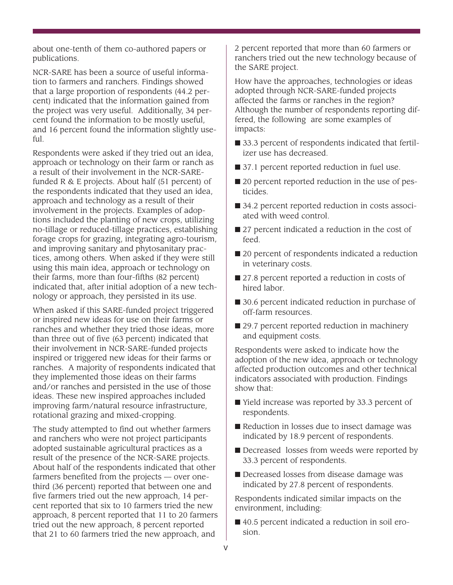about one-tenth of them co-authored papers or publications.

NCR-SARE has been a source of useful information to farmers and ranchers. Findings showed that a large proportion of respondents (44.2 percent) indicated that the information gained from the project was very useful. Additionally, 34 percent found the information to be mostly useful, and 16 percent found the information slightly useful.

Respondents were asked if they tried out an idea, approach or technology on their farm or ranch as a result of their involvement in the NCR-SAREfunded R & E projects. About half (51 percent) of the respondents indicated that they used an idea, approach and technology as a result of their involvement in the projects. Examples of adoptions included the planting of new crops, utilizing no-tillage or reduced-tillage practices, establishing forage crops for grazing, integrating agro-tourism, and improving sanitary and phytosanitary practices, among others. When asked if they were still using this main idea, approach or technology on their farms, more than four-fifths (82 percent) indicated that, after initial adoption of a new technology or approach, they persisted in its use.

When asked if this SARE-funded project triggered or inspired new ideas for use on their farms or ranches and whether they tried those ideas, more than three out of five (63 percent) indicated that their involvement in NCR-SARE-funded projects inspired or triggered new ideas for their farms or ranches. A majority of respondents indicated that they implemented those ideas on their farms and/or ranches and persisted in the use of those ideas. These new inspired approaches included improving farm/natural resource infrastructure, rotational grazing and mixed-cropping.

The study attempted to find out whether farmers and ranchers who were not project participants adopted sustainable agricultural practices as a result of the presence of the NCR-SARE projects. About half of the respondents indicated that other farmers benefited from the projects — over onethird (36 percent) reported that between one and five farmers tried out the new approach, 14 percent reported that six to 10 farmers tried the new approach, 8 percent reported that 11 to 20 farmers tried out the new approach, 8 percent reported that 21 to 60 farmers tried the new approach, and

2 percent reported that more than 60 farmers or ranchers tried out the new technology because of the SARE project.

How have the approaches, technologies or ideas adopted through NCR-SARE-funded projects affected the farms or ranches in the region? Although the number of respondents reporting differed, the following are some examples of impacts:

- 33.3 percent of respondents indicated that fertilizer use has decreased.
- 37.1 percent reported reduction in fuel use.
- 20 percent reported reduction in the use of pesticides.
- 34.2 percent reported reduction in costs associated with weed control.
- 27 percent indicated a reduction in the cost of feed.
- 20 percent of respondents indicated a reduction in veterinary costs.
- 27.8 percent reported a reduction in costs of hired labor.
- 30.6 percent indicated reduction in purchase of off-farm resources.
- 29.7 percent reported reduction in machinery and equipment costs.

Respondents were asked to indicate how the adoption of the new idea, approach or technology affected production outcomes and other technical indicators associated with production. Findings show that:

- Yield increase was reported by 33.3 percent of respondents.
- Reduction in losses due to insect damage was indicated by 18.9 percent of respondents.
- Decreased losses from weeds were reported by 33.3 percent of respondents.
- Decreased losses from disease damage was indicated by 27.8 percent of respondents.

Respondents indicated similar impacts on the environment, including:

■ 40.5 percent indicated a reduction in soil erosion.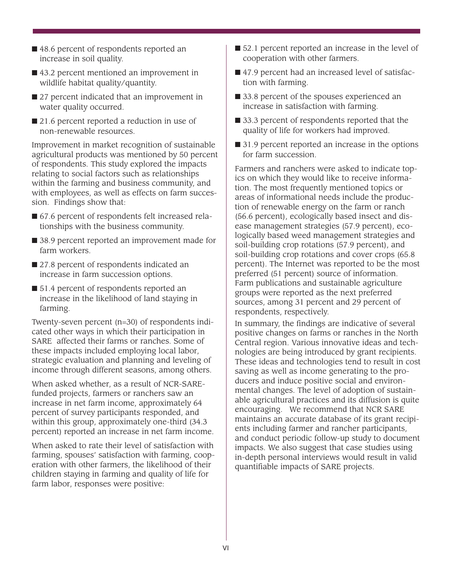- 48.6 percent of respondents reported an increase in soil quality.
- 43.2 percent mentioned an improvement in wildlife habitat quality/quantity.
- 27 percent indicated that an improvement in water quality occurred.
- 21.6 percent reported a reduction in use of non-renewable resources.

Improvement in market recognition of sustainable agricultural products was mentioned by 50 percent of respondents. This study explored the impacts relating to social factors such as relationships within the farming and business community, and with employees, as well as effects on farm succession. Findings show that:

- 67.6 percent of respondents felt increased relationships with the business community.
- 38.9 percent reported an improvement made for farm workers.
- 27.8 percent of respondents indicated an increase in farm succession options.
- 51.4 percent of respondents reported an increase in the likelihood of land staying in farming.

Twenty-seven percent (n=30) of respondents indicated other ways in which their participation in SARE affected their farms or ranches. Some of these impacts included employing local labor, strategic evaluation and planning and leveling of income through different seasons, among others.

When asked whether, as a result of NCR-SAREfunded projects, farmers or ranchers saw an increase in net farm income, approximately 64 percent of survey participants responded, and within this group, approximately one-third (34.3 percent) reported an increase in net farm income.

When asked to rate their level of satisfaction with farming, spouses' satisfaction with farming, cooperation with other farmers, the likelihood of their children staying in farming and quality of life for farm labor, responses were positive:

- 52.1 percent reported an increase in the level of cooperation with other farmers.
- 47.9 percent had an increased level of satisfaction with farming.
- 33.8 percent of the spouses experienced an increase in satisfaction with farming.
- 33.3 percent of respondents reported that the quality of life for workers had improved.
- 31.9 percent reported an increase in the options for farm succession.

Farmers and ranchers were asked to indicate topics on which they would like to receive information. The most frequently mentioned topics or areas of informational needs include the production of renewable energy on the farm or ranch (56.6 percent), ecologically based insect and disease management strategies (57.9 percent), ecologically based weed management strategies and soil-building crop rotations (57.9 percent), and soil-building crop rotations and cover crops (65.8 percent). The Internet was reported to be the most preferred (51 percent) source of information. Farm publications and sustainable agriculture groups were reported as the next preferred sources, among 31 percent and 29 percent of respondents, respectively.

In summary, the findings are indicative of several positive changes on farms or ranches in the North Central region. Various innovative ideas and technologies are being introduced by grant recipients. These ideas and technologies tend to result in cost saving as well as income generating to the producers and induce positive social and environmental changes. The level of adoption of sustainable agricultural practices and its diffusion is quite encouraging. We recommend that NCR SARE maintains an accurate database of its grant recipients including farmer and rancher participants, and conduct periodic follow-up study to document impacts. We also suggest that case studies using in-depth personal interviews would result in valid quantifiable impacts of SARE projects.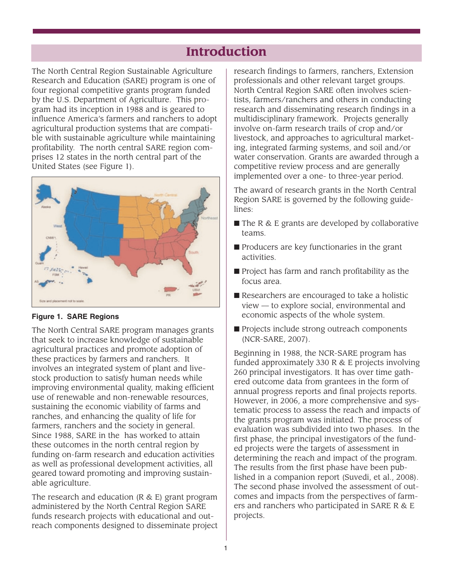## **Introduction**

The North Central Region Sustainable Agriculture Research and Education (SARE) program is one of four regional competitive grants program funded by the U.S. Department of Agriculture. This program had its inception in 1988 and is geared to influence America's farmers and ranchers to adopt agricultural production systems that are compatible with sustainable agriculture while maintaining profitability. The north central SARE region comprises 12 states in the north central part of the United States (see Figure 1).



#### **Figure 1. SARE Regions**

The North Central SARE program manages grants that seek to increase knowledge of sustainable agricultural practices and promote adoption of these practices by farmers and ranchers. It involves an integrated system of plant and livestock production to satisfy human needs while improving environmental quality, making efficient use of renewable and non-renewable resources, sustaining the economic viability of farms and ranches, and enhancing the quality of life for farmers, ranchers and the society in general. Since 1988, SARE in the has worked to attain these outcomes in the north central region by funding on-farm research and education activities as well as professional development activities, all geared toward promoting and improving sustainable agriculture.

The research and education (R & E) grant program administered by the North Central Region SARE funds research projects with educational and outreach components designed to disseminate project research findings to farmers, ranchers, Extension professionals and other relevant target groups. North Central Region SARE often involves scientists, farmers/ranchers and others in conducting research and disseminating research findings in a multidisciplinary framework. Projects generally involve on-farm research trails of crop and/or livestock, and approaches to agricultural marketing, integrated farming systems, and soil and/or water conservation. Grants are awarded through a competitive review process and are generally implemented over a one- to three-year period.

The award of research grants in the North Central Region SARE is governed by the following guidelines:

- The R & E grants are developed by collaborative teams.
- Producers are key functionaries in the grant activities.
- Project has farm and ranch profitability as the focus area.
- Researchers are encouraged to take a holistic view — to explore social, environmental and economic aspects of the whole system.
- Projects include strong outreach components (NCR-SARE, 2007).

Beginning in 1988, the NCR-SARE program has funded approximately 330 R & E projects involving 260 principal investigators. It has over time gathered outcome data from grantees in the form of annual progress reports and final projects reports. However, in 2006, a more comprehensive and systematic process to assess the reach and impacts of the grants program was initiated. The process of evaluation was subdivided into two phases. In the first phase, the principal investigators of the funded projects were the targets of assessment in determining the reach and impact of the program. The results from the first phase have been published in a companion report (Suvedi, et al., 2008). The second phase involved the assessment of outcomes and impacts from the perspectives of farmers and ranchers who participated in SARE R & E projects.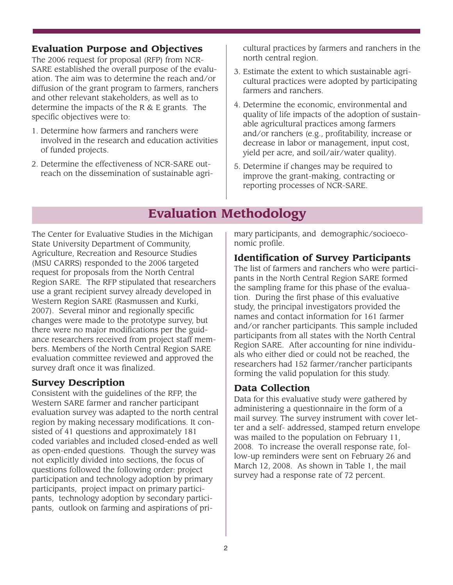## **Evaluation Purpose and Objectives**

The 2006 request for proposal (RFP) from NCR-SARE established the overall purpose of the evaluation. The aim was to determine the reach and/or diffusion of the grant program to farmers, ranchers and other relevant stakeholders, as well as to determine the impacts of the R & E grants. The specific objectives were to:

- 1. Determine how farmers and ranchers were involved in the research and education activities of funded projects.
- 2. Determine the effectiveness of NCR-SARE outreach on the dissemination of sustainable agri-

cultural practices by farmers and ranchers in the north central region.

- 3. Estimate the extent to which sustainable agricultural practices were adopted by participating farmers and ranchers.
- 4. Determine the economic, environmental and quality of life impacts of the adoption of sustainable agricultural practices among farmers and/or ranchers (e.g., profitability, increase or decrease in labor or management, input cost, yield per acre, and soil/air/water quality).
- 5. Determine if changes may be required to improve the grant-making, contracting or reporting processes of NCR-SARE.

## **Evaluation Methodology**

The Center for Evaluative Studies in the Michigan State University Department of Community, Agriculture, Recreation and Resource Studies (MSU CARRS) responded to the 2006 targeted request for proposals from the North Central Region SARE. The RFP stipulated that researchers use a grant recipient survey already developed in Western Region SARE (Rasmussen and Kurki, 2007). Several minor and regionally specific changes were made to the prototype survey, but there were no major modifications per the guidance researchers received from project staff members. Members of the North Central Region SARE evaluation committee reviewed and approved the survey draft once it was finalized.

## **Survey Description**

Consistent with the guidelines of the RFP, the Western SARE farmer and rancher participant evaluation survey was adapted to the north central region by making necessary modifications. It consisted of 41 questions and approximately 181 coded variables and included closed-ended as well as open-ended questions. Though the survey was not explicitly divided into sections, the focus of questions followed the following order: project participation and technology adoption by primary participants, project impact on primary participants, technology adoption by secondary participants, outlook on farming and aspirations of primary participants, and demographic/socioeconomic profile.

## **Identification of Survey Participants**

The list of farmers and ranchers who were participants in the North Central Region SARE formed the sampling frame for this phase of the evaluation. During the first phase of this evaluative study, the principal investigators provided the names and contact information for 161 farmer and/or rancher participants. This sample included participants from all states with the North Central Region SARE. After accounting for nine individuals who either died or could not be reached, the researchers had 152 farmer/rancher participants forming the valid population for this study.

## **Data Collection**

Data for this evaluative study were gathered by administering a questionnaire in the form of a mail survey. The survey instrument with cover letter and a self- addressed, stamped return envelope was mailed to the population on February 11, 2008. To increase the overall response rate, follow-up reminders were sent on February 26 and March 12, 2008. As shown in Table 1, the mail survey had a response rate of 72 percent.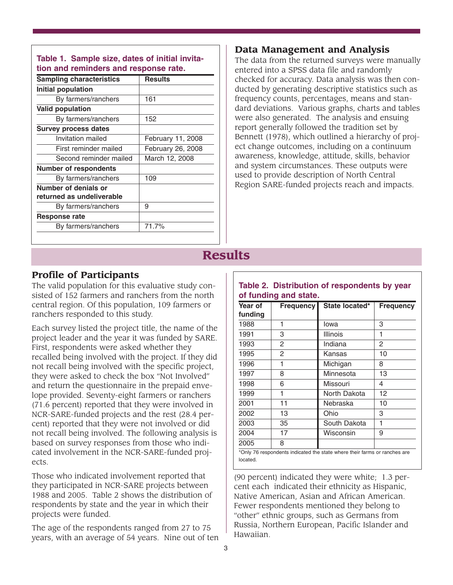| <b>Sampling characteristics</b> | <b>Results</b>    |
|---------------------------------|-------------------|
| Initial population              |                   |
| By farmers/ranchers             | 161               |
| <b>Valid population</b>         |                   |
| By farmers/ranchers             | 152               |
| <b>Survey process dates</b>     |                   |
| Invitation mailed               | February 11, 2008 |
| First reminder mailed           | February 26, 2008 |
| Second reminder mailed          | March 12, 2008    |
| <b>Number of respondents</b>    |                   |
| By farmers/ranchers             | 109               |
| Number of denials or            |                   |
| returned as undeliverable       |                   |
| By farmers/ranchers             | 9                 |
| <b>Response rate</b>            |                   |
| By farmers/ranchers             | 71.7%             |

# **Table 1. Sample size, dates of initial invita-**

### **Data Management and Analysis**

The data from the returned surveys were manually entered into a SPSS data file and randomly checked for accuracy. Data analysis was then conducted by generating descriptive statistics such as frequency counts, percentages, means and standard deviations. Various graphs, charts and tables were also generated. The analysis and ensuing report generally followed the tradition set by Bennett (1978), which outlined a hierarchy of project change outcomes, including on a continuum awareness, knowledge, attitude, skills, behavior and system circumstances. These outputs were used to provide description of North Central Region SARE-funded projects reach and impacts.

# **Results**

### **Profile of Participants**

The valid population for this evaluative study consisted of 152 farmers and ranchers from the north central region. Of this population, 109 farmers or ranchers responded to this study.

Each survey listed the project title, the name of the project leader and the year it was funded by SARE. First, respondents were asked whether they recalled being involved with the project. If they did not recall being involved with the specific project, they were asked to check the box "Not Involved" and return the questionnaire in the prepaid envelope provided. Seventy-eight farmers or ranchers (71.6 percent) reported that they were involved in NCR-SARE-funded projects and the rest (28.4 percent) reported that they were not involved or did not recall being involved. The following analysis is based on survey responses from those who indicated involvement in the NCR-SARE-funded projects.

Those who indicated involvement reported that they participated in NCR-SARE projects between 1988 and 2005. Table 2 shows the distribution of respondents by state and the year in which their projects were funded.

The age of the respondents ranged from 27 to 75 years, with an average of 54 years. Nine out of ten

| Year of<br>funding | Frequency<br>State located* |                 |    |  |
|--------------------|-----------------------------|-----------------|----|--|
| 1988               | 1                           | Iowa            | 3  |  |
| 1991               | 3                           | <b>Illinois</b> | 1  |  |
| 1993               | 2                           | Indiana         | 2  |  |
| 1995               | $\mathcal{P}$               | Kansas          | 10 |  |
| 1996               | 1                           | Michigan        | 8  |  |
| 1997               | 8                           | Minnesota       | 13 |  |
| 1998               | 6                           | Missouri        | 4  |  |
| 1999               | 1                           | North Dakota    | 12 |  |
| 2001               | 11                          | Nebraska        | 10 |  |
| 2002               | 13                          | Ohio            | 3  |  |
| 2003               | 35                          | South Dakota    | 1  |  |
| 2004               | 17                          | Wisconsin       | 9  |  |
| 2005               | 8                           |                 |    |  |

**Table 2. Distribution of respondents by year**

located.

(90 percent) indicated they were white; 1.3 percent each indicated their ethnicity as Hispanic, Native American, Asian and African American. Fewer respondents mentioned they belong to "other" ethnic groups, such as Germans from Russia, Northern European, Pacific Islander and Hawaiian.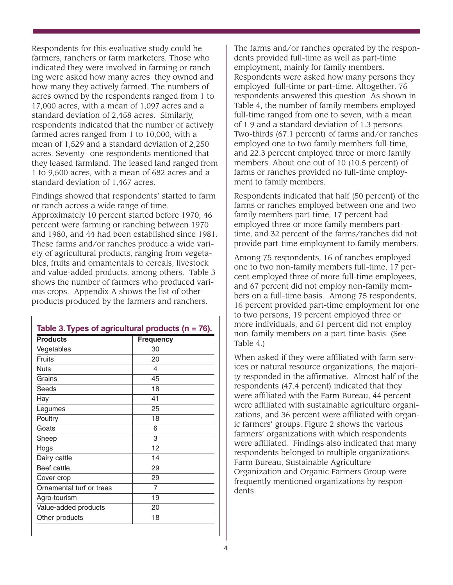Respondents for this evaluative study could be farmers, ranchers or farm marketers. Those who indicated they were involved in farming or ranching were asked how many acres they owned and how many they actively farmed. The numbers of acres owned by the respondents ranged from 1 to 17,000 acres, with a mean of 1,097 acres and a standard deviation of 2,458 acres. Similarly, respondents indicated that the number of actively farmed acres ranged from 1 to 10,000, with a mean of 1,529 and a standard deviation of 2,250 acres. Seventy- one respondents mentioned that they leased farmland. The leased land ranged from 1 to 9,500 acres, with a mean of 682 acres and a standard deviation of 1,467 acres.

Findings showed that respondents' started to farm or ranch across a wide range of time. Approximately 10 percent started before 1970, 46 percent were farming or ranching between 1970 and 1980, and 44 had been established since 1981. These farms and/or ranches produce a wide variety of agricultural products, ranging from vegetables, fruits and ornamentals to cereals, livestock and value-added products, among others. Table 3 shows the number of farmers who produced various crops. Appendix A shows the list of other products produced by the farmers and ranchers.

| <b>Products</b>          | <b>Frequency</b> |
|--------------------------|------------------|
| Vegetables               | 30               |
| Fruits                   | 20               |
| <b>Nuts</b>              | 4                |
| Grains                   | 45               |
| Seeds                    | 18               |
| Hay                      | 41               |
| Legumes                  | 25               |
| Poultry                  | 18               |
| Goats                    | 6                |
| Sheep                    | 3                |
| Hogs                     | 12               |
| Dairy cattle             | 14               |
| Beef cattle              | 29               |
| Cover crop               | 29               |
| Ornamental turf or trees | 7                |
| Agro-tourism             | 19               |
| Value-added products     | 20               |
| Other products           | 18               |

The farms and/or ranches operated by the respondents provided full-time as well as part-time employment, mainly for family members. Respondents were asked how many persons they employed full-time or part-time. Altogether, 76 respondents answered this question. As shown in Table 4, the number of family members employed full-time ranged from one to seven, with a mean of 1.9 and a standard deviation of 1.3 persons. Two-thirds (67.1 percent) of farms and/or ranches employed one to two family members full-time, and 22.3 percent employed three or more family members. About one out of 10 (10.5 percent) of farms or ranches provided no full-time employment to family members.

Respondents indicated that half (50 percent) of the farms or ranches employed between one and two family members part-time, 17 percent had employed three or more family members parttime, and 32 percent of the farms/ranches did not provide part-time employment to family members.

Among 75 respondents, 16 of ranches employed one to two non-family members full-time, 17 percent employed three of more full-time employees, and 67 percent did not employ non-family members on a full-time basis. Among 75 respondents, 16 percent provided part-time employment for one to two persons, 19 percent employed three or more individuals, and 51 percent did not employ non-family members on a part-time basis. (See Table 4.)

When asked if they were affiliated with farm services or natural resource organizations, the majority responded in the affirmative. Almost half of the respondents (47.4 percent) indicated that they were affiliated with the Farm Bureau, 44 percent were affiliated with sustainable agriculture organizations, and 36 percent were affiliated with organic farmers' groups. Figure 2 shows the various farmers' organizations with which respondents were affiliated. Findings also indicated that many respondents belonged to multiple organizations. Farm Bureau, Sustainable Agriculture Organization and Organic Farmers Group were frequently mentioned organizations by respondents.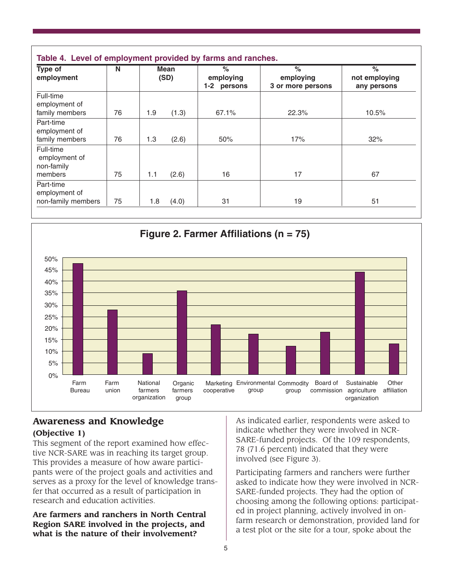| Type of<br>employment                    | N  |     | <b>Mean</b><br>(SD) | $\%$<br>employing<br>1-2 persons | $\frac{6}{6}$<br>employing<br>3 or more persons | $\frac{1}{6}$<br>not employing<br>any persons |
|------------------------------------------|----|-----|---------------------|----------------------------------|-------------------------------------------------|-----------------------------------------------|
| Full-time<br>employment of               |    |     |                     |                                  |                                                 |                                               |
| family members                           | 76 | 1.9 | (1.3)               | 67.1%                            | 22.3%                                           | 10.5%                                         |
| Part-time<br>employment of               |    |     |                     |                                  |                                                 |                                               |
| family members                           | 76 | 1.3 | (2.6)               | 50%                              | 17%                                             | 32%                                           |
| Full-time<br>employment of<br>non-family |    |     |                     |                                  |                                                 |                                               |
| members                                  | 75 | 1.1 | (2.6)               | 16                               | 17                                              | 67                                            |
| Part-time<br>employment of               |    |     |                     |                                  |                                                 |                                               |
| non-family members                       | 75 | 1.8 | (4.0)               | 31                               | 19                                              | 51                                            |



# **Awareness and Knowledge**

## **(Objective 1)**

This segment of the report examined how effective NCR-SARE was in reaching its target group. This provides a measure of how aware participants were of the project goals and activities and serves as a proxy for the level of knowledge transfer that occurred as a result of participation in research and education activities.

**Are farmers and ranchers in North Central Region SARE involved in the projects, and what is the nature of their involvement?** 

As indicated earlier, respondents were asked to indicate whether they were involved in NCR-SARE-funded projects. Of the 109 respondents, 78 (71.6 percent) indicated that they were involved (see Figure 3).

Participating farmers and ranchers were further asked to indicate how they were involved in NCR-SARE-funded projects. They had the option of choosing among the following options: participated in project planning, actively involved in onfarm research or demonstration, provided land for a test plot or the site for a tour, spoke about the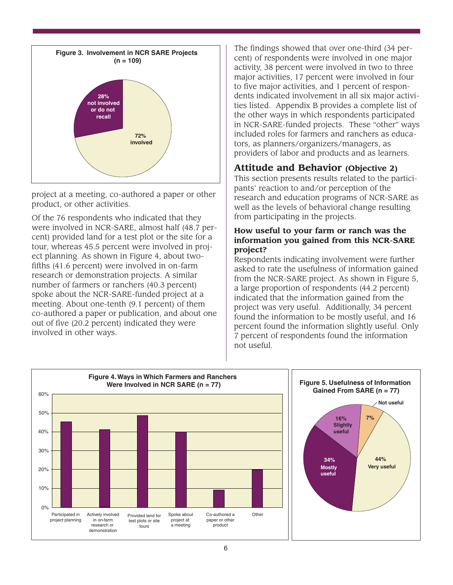

project at a meeting, co-authored a paper or other product, or other activities.

Of the 76 respondents who indicated that they were involved in NCR-SARE, almost half (48.7 percent) provided land for a test plot or the site for a tour, whereas 45.5 percent were involved in project planning. As shown in Figure 4, about twofifths (41.6 percent) were involved in on-farm research or demonstration projects. A similar number of farmers or ranchers (40.3 percent) spoke about the NCR-SARE-funded project at a meeting. About one-tenth (9.1 percent) of them co-authored a paper or publication, and about one out of five (20.2 percent) indicated they were involved in other ways.

The findings showed that over one-third (34 percent) of respondents were involved in one major activity, 38 percent were involved in two to three major activities, 17 percent were involved in four to five major activities, and 1 percent of respondents indicated involvement in all six major activities listed. Appendix B provides a complete list of the other ways in which respondents participated in NCR-SARE-funded projects. These "other" ways included roles for farmers and ranchers as educators, as planners/organizers/managers, as providers of labor and products and as learners.

## **Attitude and Behavior (Objective 2)**

This section presents results related to the participants' reaction to and/or perception of the research and education programs of NCR-SARE as well as the levels of behavioral change resulting from participating in the projects.

#### **How useful to your farm or ranch was the information you gained from this NCR-SARE project?**

Respondents indicating involvement were further asked to rate the usefulness of information gained from the NCR-SARE project. As shown in Figure 5, a large proportion of respondents (44.2 percent) indicated that the information gained from the project was very useful. Additionally, 34 percent found the information to be mostly useful, and 16 percent found the information slightly useful. Only 7 percent of respondents found the information not useful.

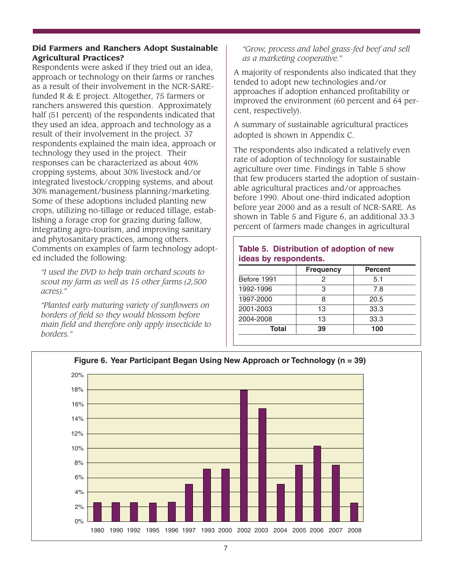#### **Did Farmers and Ranchers Adopt Sustainable Agricultural Practices?**

Respondents were asked if they tried out an idea, approach or technology on their farms or ranches as a result of their involvement in the NCR-SAREfunded R & E project. Altogether, 75 farmers or ranchers answered this question. Approximately half (51 percent) of the respondents indicated that they used an idea, approach and technology as a result of their involvement in the project. 37 respondents explained the main idea, approach or technology they used in the project. Their responses can be characterized as about 40% cropping systems, about 30% livestock and/or integrated livestock/cropping systems, and about 30% management/business planning/marketing. Some of these adoptions included planting new crops, utilizing no-tillage or reduced tillage, establishing a forage crop for grazing during fallow, integrating agro-tourism, and improving sanitary and phytosanitary practices, among others. Comments on examples of farm technology adopted included the following:

*"I used the DVD to help train orchard scouts to scout my farm as well as 15 other farms (2,500 acres)."*

*"Planted early maturing variety of sunflowers on borders of field so they would blossom before main field and therefore only apply insecticide to borders."*

#### *"Grow, process and label grass-fed beef and sell as a marketing cooperative."*

A majority of respondents also indicated that they tended to adopt new technologies and/or approaches if adoption enhanced profitability or improved the environment (60 percent and 64 percent, respectively).

A summary of sustainable agricultural practices adopted is shown in Appendix C.

The respondents also indicated a relatively even rate of adoption of technology for sustainable agriculture over time. Findings in Table 5 show that few producers started the adoption of sustainable agricultural practices and/or approaches before 1990. About one-third indicated adoption before year 2000 and as a result of NCR-SARE. As shown in Table 5 and Figure 6, an additional 33.3 percent of farmers made changes in agricultural

### **Table 5. Distribution of adoption of new ideas by respondents.**

|             | <b>Frequency</b> | <b>Percent</b> |
|-------------|------------------|----------------|
| Before 1991 | 2                | 5.1            |
| 1992-1996   | 3                | 7.8            |
| 1997-2000   | 8                | 20.5           |
| 2001-2003   | 13               | 33.3           |
| 2004-2008   | 13               | 33.3           |
| Total       | 39               | 100            |

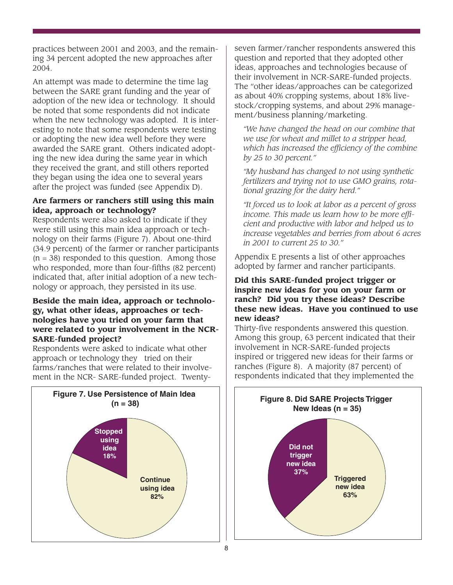practices between 2001 and 2003, and the remaining 34 percent adopted the new approaches after 2004.

An attempt was made to determine the time lag between the SARE grant funding and the year of adoption of the new idea or technology. It should be noted that some respondents did not indicate when the new technology was adopted. It is interesting to note that some respondents were testing or adopting the new idea well before they were awarded the SARE grant. Others indicated adopting the new idea during the same year in which they received the grant, and still others reported they began using the idea one to several years after the project was funded (see Appendix D).

### **Are farmers or ranchers still using this main idea, approach or technology?**

Respondents were also asked to indicate if they were still using this main idea approach or technology on their farms (Figure 7). About one-third (34.9 percent) of the farmer or rancher participants  $(n = 38)$  responded to this question. Among those who responded, more than four-fifths (82 percent) indicated that, after initial adoption of a new technology or approach, they persisted in its use.

#### **Beside the main idea, approach or technology, what other ideas, approaches or technologies have you tried on your farm that were related to your involvement in the NCR-SARE-funded project?**

Respondents were asked to indicate what other approach or technology they tried on their farms/ranches that were related to their involvement in the NCR- SARE-funded project. Twenty-



seven farmer/rancher respondents answered this question and reported that they adopted other ideas, approaches and technologies because of their involvement in NCR-SARE-funded projects. The "other ideas/approaches can be categorized as about 40% cropping systems, about 18% livestock/cropping systems, and about 29% management/business planning/marketing.

*"We have changed the head on our combine that we use for wheat and millet to a stripper head, which has increased the efficiency of the combine by 25 to 30 percent."*

*"My husband has changed to not using synthetic fertilizers and trying not to use GMO grains, rotational grazing for the dairy herd."*

*"It forced us to look at labor as a percent of gross income. This made us learn how to be more efficient and productive with labor and helped us to increase vegetables and berries from about 6 acres in 2001 to current 25 to 30."*

Appendix E presents a list of other approaches adopted by farmer and rancher participants.

#### **Did this SARE-funded project trigger or inspire new ideas for you on your farm or ranch? Did you try these ideas? Describe these new ideas. Have you continued to use new ideas?**

Thirty-five respondents answered this question. Among this group, 63 percent indicated that their involvement in NCR-SARE-funded projects inspired or triggered new ideas for their farms or ranches (Figure 8). A majority (87 percent) of respondents indicated that they implemented the

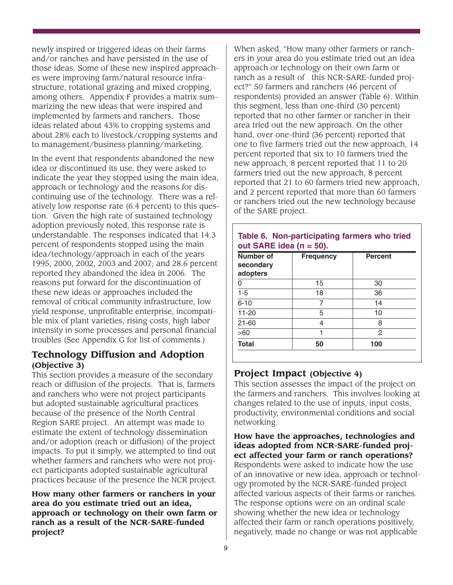newly inspired or triggered ideas on their farms and/or ranches and have persisted in the use of those ideas. Some of these new inspired approaches were improving farm/natural resource infrastructure, rotational grazing and mixed cropping, among others. Appendix F provides a matrix summarizing the new ideas that were inspired and implemented by farmers and ranchers. Those ideas related about 43% to cropping systems and about 28% each to livestock/cropping systems and to management/business planning/marketing.

In the event that respondents abandoned the new idea or discontinued its use, they were asked to indicate the year they stopped using the main idea, approach or technology and the reasons for discontinuing use of the technology. There was a relatively low response rate (6.4 percent) to this question. Given the high rate of sustained technology adoption previously noted, this response rate is understandable. The responses indicated that 14.3 percent of respondents stopped using the main idea/technology/approach in each of the years 1995, 2000, 2002, 2003 and 2007; and 28.6 percent reported they abandoned the idea in 2006. The reasons put forward for the discontinuation of these new ideas or approaches included the removal of critical community infrastructure, low yield response, unprofitable enterprise, incompatible mix of plant varieties, rising costs, high labor intensity in some processes and personal financial troubles (See Appendix G for list of comments.)

### **Technology Diffusion and Adoption (Objective 3)**

This section provides a measure of the secondary reach or diffusion of the projects. That is, farmers and ranchers who were not project participants but adopted sustainable agricultural practices because of the presence of the North Central Region SARE project. An attempt was made to estimate the extent of technology dissemination and/or adoption (reach or diffusion) of the project impacts. To put it simply, we attempted to find out whether farmers and ranchers who were not project participants adopted sustainable agricultural practices because of the presence the NCR project.

**How many other farmers or ranchers in your area do you estimate tried out an idea, approach or technology on their own farm or ranch as a result of the NCR-SARE-funded project?** 

When asked, "How many other farmers or ranchers in your area do you estimate tried out an idea approach or technology on their own farm or ranch as a result of this NCR-SARE-funded project?" 50 farmers and ranchers (46 percent of respondents) provided an answer (Table 6). Within this segment, less than one-third (30 percent) reported that no other farmer or rancher in their area tried out the new approach. On the other hand, over one-third (36 percent) reported that one to five farmers tried out the new approach, 14 percent reported that six to 10 farmers tried the new approach, 8 percent reported that 11 to 20 farmers tried out the new approach, 8 percent reported that 21 to 60 farmers tried new approach, and 2 percent reported that more than 60 farmers or ranchers tried out the new technology because of the SARE project.

| Number of<br>secondary<br>adopters | <b>Frequency</b> | <b>Percent</b> |
|------------------------------------|------------------|----------------|
| U                                  | 15               | 30             |
| $1 - 5$                            | 18               | 36             |
| $6 - 10$                           |                  | 14             |
| $11 - 20$                          | 5                | 10             |
| $21 - 60$                          | 4                | 8              |
| >60                                |                  | 2              |
| <b>Total</b>                       | 50               | 100            |

# **Table 6. Non-participating farmers who tried**

## **Project Impact (Objective 4)**

This section assesses the impact of the project on the farmers and ranchers. This involves looking at changes related to the use of inputs, input costs, productivity, environmental conditions and social networking.

**How have the approaches, technologies and ideas adopted from NCR-SARE-funded project affected your farm or ranch operations?**  Respondents were asked to indicate how the use of an innovative or new idea, approach or technology promoted by the NCR-SARE-funded project affected various aspects of their farms or ranches. The response options were on an ordinal scale showing whether the new idea or technology affected their farm or ranch operations positively, negatively, made no change or was not applicable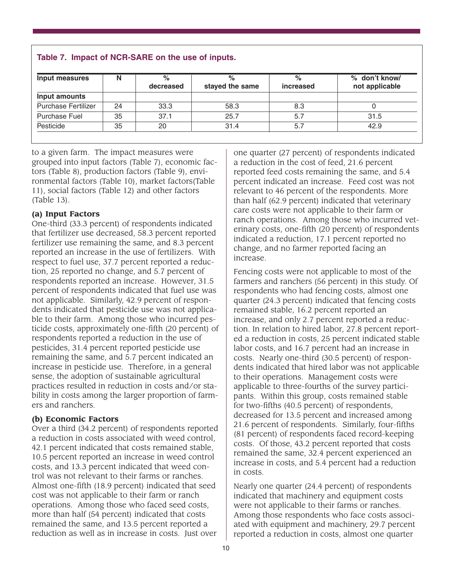| Input measures             | Ν  | $\%$<br>decreased | $\%$<br>stayed the same | $\%$<br>increased | % don't know/<br>not applicable |
|----------------------------|----|-------------------|-------------------------|-------------------|---------------------------------|
| Input amounts              |    |                   |                         |                   |                                 |
| <b>Purchase Fertilizer</b> | 24 | 33.3              | 58.3                    | 8.3               |                                 |
| <b>Purchase Fuel</b>       | 35 | 37.1              | 25.7                    | 5.7               | 31.5                            |
| Pesticide                  | 35 | 20                | 31.4                    | 5.7               | 42.9                            |

to a given farm. The impact measures were grouped into input factors (Table 7), economic factors (Table 8), production factors (Table 9), environmental factors (Table 10), market factors(Table 11), social factors (Table 12) and other factors (Table 13).

#### **(a) Input Factors**

One-third (33.3 percent) of respondents indicated that fertilizer use decreased, 58.3 percent reported fertilizer use remaining the same, and 8.3 percent reported an increase in the use of fertilizers. With respect to fuel use, 37.7 percent reported a reduction, 25 reported no change, and 5.7 percent of respondents reported an increase. However, 31.5 percent of respondents indicated that fuel use was not applicable. Similarly, 42.9 percent of respondents indicated that pesticide use was not applicable to their farm. Among those who incurred pesticide costs, approximately one-fifth (20 percent) of respondents reported a reduction in the use of pesticides, 31.4 percent reported pesticide use remaining the same, and 5.7 percent indicated an increase in pesticide use. Therefore, in a general sense, the adoption of sustainable agricultural practices resulted in reduction in costs and/or stability in costs among the larger proportion of farmers and ranchers.

#### **(b) Economic Factors**

Over a third (34.2 percent) of respondents reported a reduction in costs associated with weed control, 42.1 percent indicated that costs remained stable, 10.5 percent reported an increase in weed control costs, and 13.3 percent indicated that weed control was not relevant to their farms or ranches. Almost one-fifth (18.9 percent) indicated that seed cost was not applicable to their farm or ranch operations. Among those who faced seed costs, more than half (54 percent) indicated that costs remained the same, and 13.5 percent reported a reduction as well as in increase in costs. Just over

one quarter (27 percent) of respondents indicated a reduction in the cost of feed, 21.6 percent reported feed costs remaining the same, and 5.4 percent indicated an increase. Feed cost was not relevant to 46 percent of the respondents. More than half (62.9 percent) indicated that veterinary care costs were not applicable to their farm or ranch operations. Among those who incurred veterinary costs, one-fifth (20 percent) of respondents indicated a reduction, 17.1 percent reported no change, and no farmer reported facing an increase.

Fencing costs were not applicable to most of the farmers and ranchers (56 percent) in this study. Of respondents who had fencing costs, almost one quarter (24.3 percent) indicated that fencing costs remained stable, 16.2 percent reported an increase, and only 2.7 percent reported a reduction. In relation to hired labor, 27.8 percent reported a reduction in costs, 25 percent indicated stable labor costs, and 16.7 percent had an increase in costs. Nearly one-third (30.5 percent) of respondents indicated that hired labor was not applicable to their operations. Management costs were applicable to three-fourths of the survey participants. Within this group, costs remained stable for two-fifths (40.5 percent) of respondents, decreased for 13.5 percent and increased among 21.6 percent of respondents. Similarly, four-fifths (81 percent) of respondents faced record-keeping costs. Of those, 43.2 percent reported that costs remained the same, 32.4 percent experienced an increase in costs, and 5.4 percent had a reduction in costs.

Nearly one quarter (24.4 percent) of respondents indicated that machinery and equipment costs were not applicable to their farms or ranches. Among those respondents who face costs associated with equipment and machinery, 29.7 percent reported a reduction in costs, almost one quarter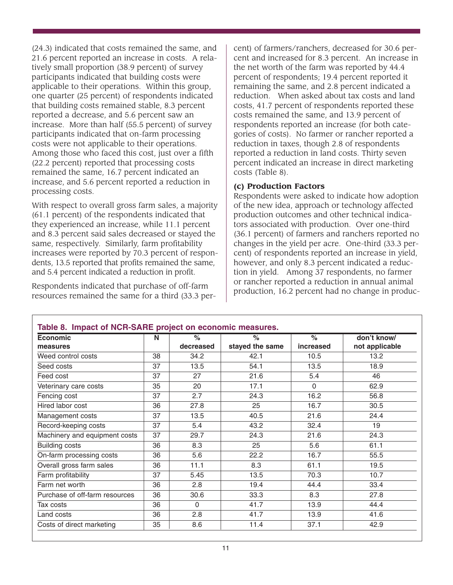(24.3) indicated that costs remained the same, and 21.6 percent reported an increase in costs. A relatively small proportion (38.9 percent) of survey participants indicated that building costs were applicable to their operations. Within this group, one quarter (25 percent) of respondents indicated that building costs remained stable, 8.3 percent reported a decrease, and 5.6 percent saw an increase. More than half (55.5 percent) of survey participants indicated that on-farm processing costs were not applicable to their operations. Among those who faced this cost, just over a fifth (22.2 percent) reported that processing costs remained the same, 16.7 percent indicated an increase, and 5.6 percent reported a reduction in processing costs.

With respect to overall gross farm sales, a majority (61.1 percent) of the respondents indicated that they experienced an increase, while 11.1 percent and 8.3 percent said sales decreased or stayed the same, respectively. Similarly, farm profitability increases were reported by 70.3 percent of respondents, 13.5 reported that profits remained the same, and 5.4 percent indicated a reduction in profit.

Respondents indicated that purchase of off-farm resources remained the same for a third (33.3 percent) of farmers/ranchers, decreased for 30.6 percent and increased for 8.3 percent. An increase in the net worth of the farm was reported by 44.4 percent of respondents; 19.4 percent reported it remaining the same, and 2.8 percent indicated a reduction. When asked about tax costs and land costs, 41.7 percent of respondents reported these costs remained the same, and 13.9 percent of respondents reported an increase (for both categories of costs). No farmer or rancher reported a reduction in taxes, though 2.8 of respondents reported a reduction in land costs. Thirty seven percent indicated an increase in direct marketing costs (Table 8).

#### **(c) Production Factors**

Respondents were asked to indicate how adoption of the new idea, approach or technology affected production outcomes and other technical indicators associated with production. Over one-third (36.1 percent) of farmers and ranchers reported no changes in the yield per acre. One-third (33.3 percent) of respondents reported an increase in yield, however, and only 8.3 percent indicated a reduction in yield. Among 37 respondents, no farmer or rancher reported a reduction in annual animal production, 16.2 percent had no change in produc-

| <b>Economic</b>                | N  | $\%$      | $\frac{1}{\alpha}$ | $\%$      | don't know/    |
|--------------------------------|----|-----------|--------------------|-----------|----------------|
| measures                       |    | decreased | stayed the same    | increased | not applicable |
| Weed control costs             | 38 | 34.2      | 42.1               | 10.5      | 13.2           |
| Seed costs                     | 37 | 13.5      | 54.1               | 13.5      | 18.9           |
| Feed cost                      | 37 | 27        | 21.6               | 5.4       | 46             |
| Veterinary care costs          | 35 | 20        | 17.1               | $\Omega$  | 62.9           |
| Fencing cost                   | 37 | 2.7       | 24.3               | 16.2      | 56.8           |
| Hired labor cost               | 36 | 27.8      | 25                 | 16.7      | 30.5           |
| Management costs               | 37 | 13.5      | 40.5               | 21.6      | 24.4           |
| Record-keeping costs           | 37 | 5.4       | 43.2               | 32.4      | 19             |
| Machinery and equipment costs  | 37 | 29.7      | 24.3               | 21.6      | 24.3           |
| <b>Building costs</b>          | 36 | 8.3       | 25                 | 5.6       | 61.1           |
| On-farm processing costs       | 36 | 5.6       | 22.2               | 16.7      | 55.5           |
| Overall gross farm sales       | 36 | 11.1      | 8.3                | 61.1      | 19.5           |
| Farm profitability             | 37 | 5.45      | 13.5               | 70.3      | 10.7           |
| Farm net worth                 | 36 | 2.8       | 19.4               | 44.4      | 33.4           |
| Purchase of off-farm resources | 36 | 30.6      | 33.3               | 8.3       | 27.8           |
| Tax costs                      | 36 | $\Omega$  | 41.7               | 13.9      | 44.4           |
| Land costs                     | 36 | 2.8       | 41.7               | 13.9      | 41.6           |
| Costs of direct marketing      | 35 | 8.6       | 11.4               | 37.1      | 42.9           |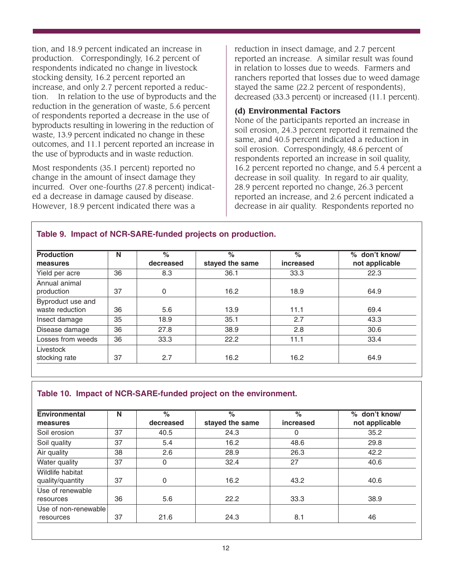tion, and 18.9 percent indicated an increase in production. Correspondingly, 16.2 percent of respondents indicated no change in livestock stocking density, 16.2 percent reported an increase, and only 2.7 percent reported a reduction. In relation to the use of byproducts and the reduction in the generation of waste, 5.6 percent of respondents reported a decrease in the use of byproducts resulting in lowering in the reduction of waste, 13.9 percent indicated no change in these outcomes, and 11.1 percent reported an increase in the use of byproducts and in waste reduction.

Most respondents (35.1 percent) reported no change in the amount of insect damage they incurred. Over one-fourths (27.8 percent) indicated a decrease in damage caused by disease. However, 18.9 percent indicated there was a

reduction in insect damage, and 2.7 percent reported an increase. A similar result was found in relation to losses due to weeds. Farmers and ranchers reported that losses due to weed damage stayed the same (22.2 percent of respondents), decreased (33.3 percent) or increased (11.1 percent).

#### **(d) Environmental Factors**

None of the participants reported an increase in soil erosion, 24.3 percent reported it remained the same, and 40.5 percent indicated a reduction in soil erosion. Correspondingly, 48.6 percent of respondents reported an increase in soil quality, 16.2 percent reported no change, and 5.4 percent a decrease in soil quality. In regard to air quality, 28.9 percent reported no change, 26.3 percent reported an increase, and 2.6 percent indicated a decrease in air quality. Respondents reported no

| <b>Production</b>                    | N  | $\frac{6}{6}$ | $\%$            | $\frac{6}{6}$ | % don't know/  |
|--------------------------------------|----|---------------|-----------------|---------------|----------------|
| measures                             |    | decreased     | stayed the same | increased     | not applicable |
| Yield per acre                       | 36 | 8.3           | 36.1            | 33.3          | 22.3           |
| Annual animal<br>production          | 37 | 0             | 16.2            | 18.9          | 64.9           |
| Byproduct use and<br>waste reduction | 36 | 5.6           | 13.9            | 11.1          | 69.4           |
| Insect damage                        | 35 | 18.9          | 35.1            | 2.7           | 43.3           |
| Disease damage                       | 36 | 27.8          | 38.9            | 2.8           | 30.6           |
| Losses from weeds                    | 36 | 33.3          | 22.2            | 11.1          | 33.4           |
| Livestock<br>stocking rate           | 37 | 2.7           | 16.2            | 16.2          | 64.9           |

# **Table 10. Impact of NCR-SARE-funded project on the environment.**

**Table 9. Impact of NCR-SARE-funded projects on production.**

| <b>Environmental</b>                 | N  | $\frac{1}{\alpha}$ | $\frac{1}{\alpha}$ | $\frac{6}{6}$ | % don't know/  |  |
|--------------------------------------|----|--------------------|--------------------|---------------|----------------|--|
| measures                             |    | decreased          | stayed the same    | increased     | not applicable |  |
| Soil erosion                         | 37 | 40.5               | 24.3               | 0             | 35.2           |  |
| Soil quality                         | 37 | 5.4                | 16.2               | 48.6          | 29.8           |  |
| Air quality                          | 38 | 2.6                | 28.9               | 26.3          | 42.2           |  |
| Water quality                        | 37 | $\Omega$           | 32.4               | 27            | 40.6           |  |
| Wildlife habitat<br>quality/quantity | 37 | 0                  | 16.2               | 43.2          | 40.6           |  |
| Use of renewable<br>resources        | 36 | 5.6                | 22.2               | 33.3          | 38.9           |  |
| Use of non-renewable                 |    |                    |                    |               |                |  |
| resources                            | 37 | 21.6               | 24.3               | 8.1           | 46             |  |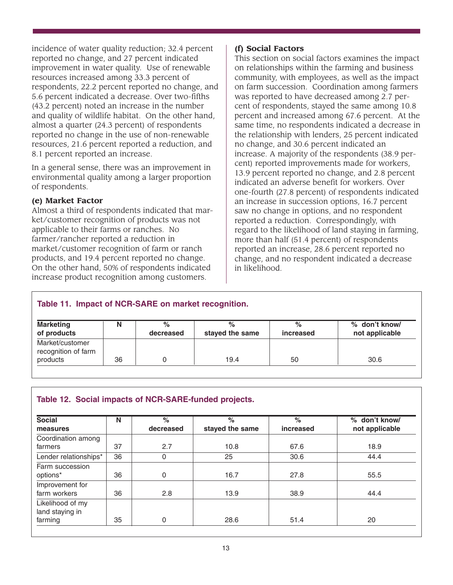incidence of water quality reduction; 32.4 percent reported no change, and 27 percent indicated improvement in water quality. Use of renewable resources increased among 33.3 percent of respondents, 22.2 percent reported no change, and 5.6 percent indicated a decrease. Over two-fifths (43.2 percent) noted an increase in the number and quality of wildlife habitat. On the other hand, almost a quarter (24.3 percent) of respondents reported no change in the use of non-renewable resources, 21.6 percent reported a reduction, and 8.1 percent reported an increase.

In a general sense, there was an improvement in environmental quality among a larger proportion of respondents.

### **(e) Market Factor**

Almost a third of respondents indicated that market/customer recognition of products was not applicable to their farms or ranches. No farmer/rancher reported a reduction in market/customer recognition of farm or ranch products, and 19.4 percent reported no change. On the other hand, 50% of respondents indicated increase product recognition among customers.

### **(f) Social Factors**

This section on social factors examines the impact on relationships within the farming and business community, with employees, as well as the impact on farm succession. Coordination among farmers was reported to have decreased among 2.7 percent of respondents, stayed the same among 10.8 percent and increased among 67.6 percent. At the same time, no respondents indicated a decrease in the relationship with lenders, 25 percent indicated no change, and 30.6 percent indicated an increase. A majority of the respondents (38.9 percent) reported improvements made for workers, 13.9 percent reported no change, and 2.8 percent indicated an adverse benefit for workers. Over one-fourth (27.8 percent) of respondents indicated an increase in succession options, 16.7 percent saw no change in options, and no respondent reported a reduction. Correspondingly, with regard to the likelihood of land staying in farming, more than half (51.4 percent) of respondents reported an increase, 28.6 percent reported no change, and no respondent indicated a decrease in likelihood.

## **Table 11. Impact of NCR-SARE on market recognition.**

| <b>Marketing</b>                                   | N  | $\%$      | %               | $\%$      | % don't know/  |
|----------------------------------------------------|----|-----------|-----------------|-----------|----------------|
| of products                                        |    | decreased | stayed the same | increased | not applicable |
| Market/customer<br>recognition of farm<br>products | 36 |           | 19.4            | 50        | 30.6           |

### **Table 12. Social impacts of NCR-SARE-funded projects.**

| <b>Social</b>         | N  | $\%$        | $\%$            | $\%$      | % don't know/  |
|-----------------------|----|-------------|-----------------|-----------|----------------|
| measures              |    | decreased   | stayed the same | increased | not applicable |
| Coordination among    |    |             |                 |           |                |
| farmers               | 37 | 2.7         | 10.8            | 67.6      | 18.9           |
| Lender relationships* | 36 | 0           | 25              | 30.6      | 44.4           |
| Farm succession       |    |             |                 |           |                |
| options*              | 36 | 0           | 16.7            | 27.8      | 55.5           |
| Improvement for       |    |             |                 |           |                |
| farm workers          | 36 | 2.8         | 13.9            | 38.9      | 44.4           |
| Likelihood of my      |    |             |                 |           |                |
| land staying in       |    |             |                 |           |                |
| farming               | 35 | $\mathbf 0$ | 28.6            | 51.4      | 20             |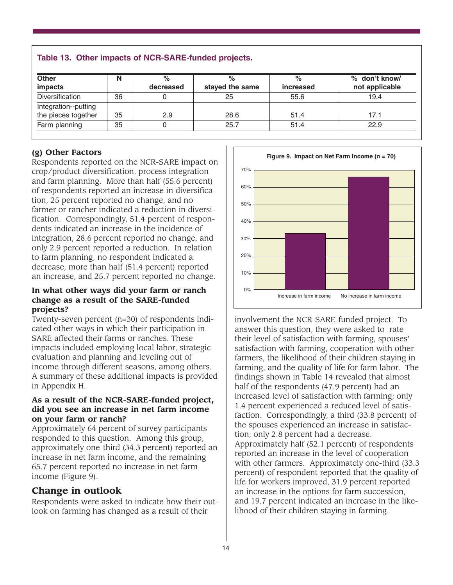| <b>Other</b>           | N  | $\%$      | %               | $\%$      | % don't know/  |
|------------------------|----|-----------|-----------------|-----------|----------------|
| impacts                |    | decreased | stayed the same | increased | not applicable |
| <b>Diversification</b> | 36 |           | 25              | 55.6      | 19.4           |
| Integration--putting   |    |           |                 |           |                |
| the pieces together    | 35 | 2.9       | 28.6            | 51.4      | 17.1           |
| Farm planning          | 35 |           | 25.7            | 51.4      | 22.9           |

### **Table 13. Other impacts of NCR-SARE-funded projects.**

#### **(g) Other Factors**

Respondents reported on the NCR-SARE impact on crop/product diversification, process integration and farm planning. More than half (55.6 percent) of respondents reported an increase in diversification, 25 percent reported no change, and no farmer or rancher indicated a reduction in diversification. Correspondingly, 51.4 percent of respondents indicated an increase in the incidence of integration, 28.6 percent reported no change, and only 2.9 percent reported a reduction. In relation to farm planning, no respondent indicated a decrease, more than half (51.4 percent) reported an increase, and 25.7 percent reported no change.

#### **In what other ways did your farm or ranch change as a result of the SARE-funded projects?**

Twenty-seven percent (n=30) of respondents indicated other ways in which their participation in SARE affected their farms or ranches. These impacts included employing local labor, strategic evaluation and planning and leveling out of income through different seasons, among others. A summary of these additional impacts is provided in Appendix H.

#### **As a result of the NCR-SARE-funded project, did you see an increase in net farm income on your farm or ranch?**

Approximately 64 percent of survey participants responded to this question. Among this group, approximately one-third (34.3 percent) reported an increase in net farm income, and the remaining 65.7 percent reported no increase in net farm income (Figure 9).

## **Change in outlook**

Respondents were asked to indicate how their outlook on farming has changed as a result of their



involvement the NCR-SARE-funded project. To answer this question, they were asked to rate their level of satisfaction with farming, spouses' satisfaction with farming, cooperation with other farmers, the likelihood of their children staying in farming, and the quality of life for farm labor. The findings shown in Table 14 revealed that almost half of the respondents (47.9 percent) had an increased level of satisfaction with farming; only 1.4 percent experienced a reduced level of satisfaction. Correspondingly, a third (33.8 percent) of the spouses experienced an increase in satisfaction; only 2.8 percent had a decrease. Approximately half (52.1 percent) of respondents reported an increase in the level of cooperation with other farmers. Approximately one-third (33.3 percent) of respondent reported that the quality of life for workers improved, 31.9 percent reported an increase in the options for farm succession, and 19.7 percent indicated an increase in the likelihood of their children staying in farming.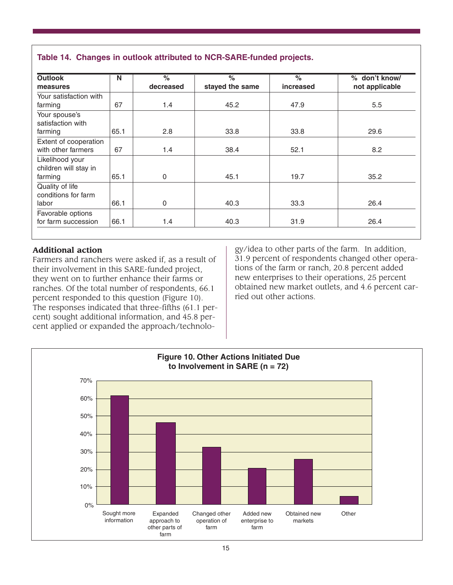| <b>Outlook</b>                              | N    | $\frac{1}{\alpha}$ | $\%$            | $\frac{6}{6}$ | % don't know/  |
|---------------------------------------------|------|--------------------|-----------------|---------------|----------------|
| measures                                    |      | decreased          | stayed the same | increased     | not applicable |
| Your satisfaction with<br>farming           | 67   | 1.4                | 45.2            | 47.9          | 5.5            |
| Your spouse's<br>satisfaction with          |      |                    |                 |               |                |
| farming                                     | 65.1 | 2.8                | 33.8            | 33.8          | 29.6           |
| Extent of cooperation<br>with other farmers | 67   | 1.4                | 38.4            | 52.1          | 8.2            |
| Likelihood your<br>children will stay in    |      |                    |                 |               |                |
| farming                                     | 65.1 | 0                  | 45.1            | 19.7          | 35.2           |
| Quality of life<br>conditions for farm      |      |                    |                 |               |                |
| labor                                       | 66.1 | 0                  | 40.3            | 33.3          | 26.4           |
| Favorable options<br>for farm succession    | 66.1 | 1.4                | 40.3            | 31.9          | 26.4           |

### **Table 14. Changes in outlook attributed to NCR-SARE-funded projects.**

### **Additional action**

Farmers and ranchers were asked if, as a result of their involvement in this SARE-funded project, they went on to further enhance their farms or ranches. Of the total number of respondents, 66.1 percent responded to this question (Figure 10). The responses indicated that three-fifths (61.1 percent) sought additional information, and 45.8 percent applied or expanded the approach/technology/idea to other parts of the farm. In addition, 31.9 percent of respondents changed other operations of the farm or ranch, 20.8 percent added new enterprises to their operations, 25 percent obtained new market outlets, and 4.6 percent carried out other actions.

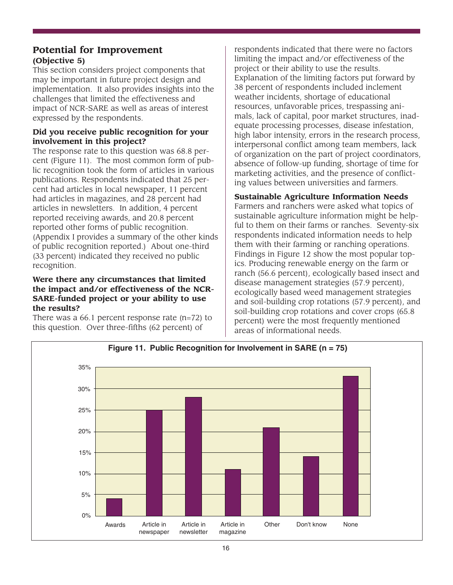## **Potential for Improvement (Objective 5)**

This section considers project components that may be important in future project design and implementation. It also provides insights into the challenges that limited the effectiveness and impact of NCR-SARE as well as areas of interest expressed by the respondents.

### **Did you receive public recognition for your involvement in this project?**

The response rate to this question was 68.8 percent (Figure 11). The most common form of public recognition took the form of articles in various publications. Respondents indicated that 25 percent had articles in local newspaper, 11 percent had articles in magazines, and 28 percent had articles in newsletters. In addition, 4 percent reported receiving awards, and 20.8 percent reported other forms of public recognition. (Appendix I provides a summary of the other kinds of public recognition reported.) About one-third (33 percent) indicated they received no public recognition.

#### **Were there any circumstances that limited the impact and/or effectiveness of the NCR-SARE-funded project or your ability to use the results?**

There was a  $66.1$  percent response rate  $(n=72)$  to this question. Over three-fifths (62 percent) of

respondents indicated that there were no factors limiting the impact and/or effectiveness of the project or their ability to use the results. Explanation of the limiting factors put forward by 38 percent of respondents included inclement weather incidents, shortage of educational resources, unfavorable prices, trespassing animals, lack of capital, poor market structures, inadequate processing processes, disease infestation, high labor intensity, errors in the research process, interpersonal conflict among team members, lack of organization on the part of project coordinators, absence of follow-up funding, shortage of time for marketing activities, and the presence of conflicting values between universities and farmers.

### **Sustainable Agriculture Information Needs**

Farmers and ranchers were asked what topics of sustainable agriculture information might be helpful to them on their farms or ranches. Seventy-six respondents indicated information needs to help them with their farming or ranching operations. Findings in Figure 12 show the most popular topics. Producing renewable energy on the farm or ranch (56.6 percent), ecologically based insect and disease management strategies (57.9 percent), ecologically based weed management strategies and soil-building crop rotations (57.9 percent), and soil-building crop rotations and cover crops (65.8 percent) were the most frequently mentioned areas of informational needs.

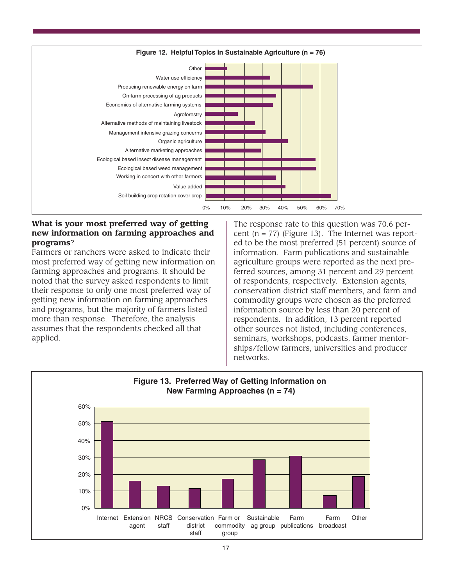

#### **What is your most preferred way of getting new information on farming approaches and programs**?

Farmers or ranchers were asked to indicate their most preferred way of getting new information on farming approaches and programs. It should be noted that the survey asked respondents to limit their response to only one most preferred way of getting new information on farming approaches and programs, but the majority of farmers listed more than response. Therefore, the analysis assumes that the respondents checked all that applied.

The response rate to this question was 70.6 percent  $(n = 77)$  (Figure 13). The Internet was reported to be the most preferred (51 percent) source of information. Farm publications and sustainable agriculture groups were reported as the next preferred sources, among 31 percent and 29 percent of respondents, respectively. Extension agents, conservation district staff members, and farm and commodity groups were chosen as the preferred information source by less than 20 percent of respondents. In addition, 13 percent reported other sources not listed, including conferences, seminars, workshops, podcasts, farmer mentorships/fellow farmers, universities and producer networks.

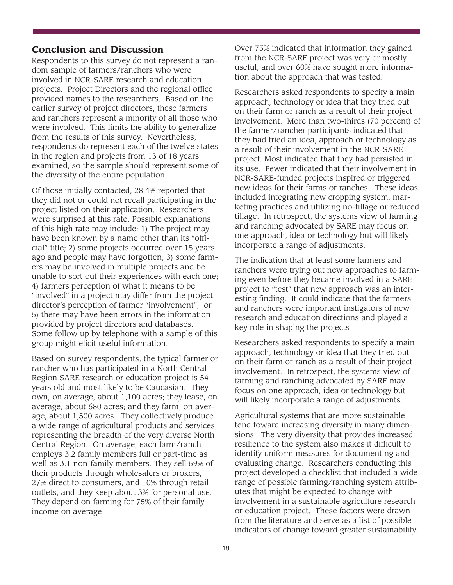### **Conclusion and Discussion**

Respondents to this survey do not represent a random sample of farmers/ranchers who were involved in NCR-SARE research and education projects. Project Directors and the regional office provided names to the researchers. Based on the earlier survey of project directors, these farmers and ranchers represent a minority of all those who were involved. This limits the ability to generalize from the results of this survey. Nevertheless, respondents do represent each of the twelve states in the region and projects from 13 of 18 years examined, so the sample should represent some of the diversity of the entire population.

Of those initially contacted, 28.4% reported that they did not or could not recall participating in the project listed on their application. Researchers were surprised at this rate. Possible explanations of this high rate may include: 1) The project may have been known by a name other than its "official" title; 2) some projects occurred over 15 years ago and people may have forgotten; 3) some farmers may be involved in multiple projects and be unable to sort out their experiences with each one; 4) farmers perception of what it means to be "involved" in a project may differ from the project director's perception of farmer "involvement"; or 5) there may have been errors in the information provided by project directors and databases. Some follow up by telephone with a sample of this group might elicit useful information.

Based on survey respondents, the typical farmer or rancher who has participated in a North Central Region SARE research or education project is 54 years old and most likely to be Caucasian. They own, on average, about 1,100 acres; they lease, on average, about 680 acres; and they farm, on average, about 1,500 acres. They collectively produce a wide range of agricultural products and services, representing the breadth of the very diverse North Central Region. On average, each farm/ranch employs 3.2 family members full or part-time as well as 3.1 non-family members. They sell 59% of their products through wholesalers or brokers, 27% direct to consumers, and 10% through retail outlets, and they keep about 3% for personal use. They depend on farming for 75% of their family income on average.

Over 75% indicated that information they gained from the NCR-SARE project was very or mostly useful, and over 60% have sought more information about the approach that was tested.

Researchers asked respondents to specify a main approach, technology or idea that they tried out on their farm or ranch as a result of their project involvement. More than two-thirds (70 percent) of the farmer/rancher participants indicated that they had tried an idea, approach or technology as a result of their involvement in the NCR-SARE project. Most indicated that they had persisted in its use. Fewer indicated that their involvement in NCR-SARE-funded projects inspired or triggered new ideas for their farms or ranches. These ideas included integrating new cropping system, marketing practices and utilizing no-tillage or reduced tillage. In retrospect, the systems view of farming and ranching advocated by SARE may focus on one approach, idea or technology but will likely incorporate a range of adjustments.

The indication that at least some farmers and ranchers were trying out new approaches to farming even before they became involved in a SARE project to "test" that new approach was an interesting finding. It could indicate that the farmers and ranchers were important instigators of new research and education directions and played a key role in shaping the projects

Researchers asked respondents to specify a main approach, technology or idea that they tried out on their farm or ranch as a result of their project involvement. In retrospect, the systems view of farming and ranching advocated by SARE may focus on one approach, idea or technology but will likely incorporate a range of adjustments.

Agricultural systems that are more sustainable tend toward increasing diversity in many dimensions. The very diversity that provides increased resilience to the system also makes it difficult to identify uniform measures for documenting and evaluating change. Researchers conducting this project developed a checklist that included a wide range of possible farming/ranching system attributes that might be expected to change with involvement in a sustainable agriculture research or education project. These factors were drawn from the literature and serve as a list of possible indicators of change toward greater sustainability.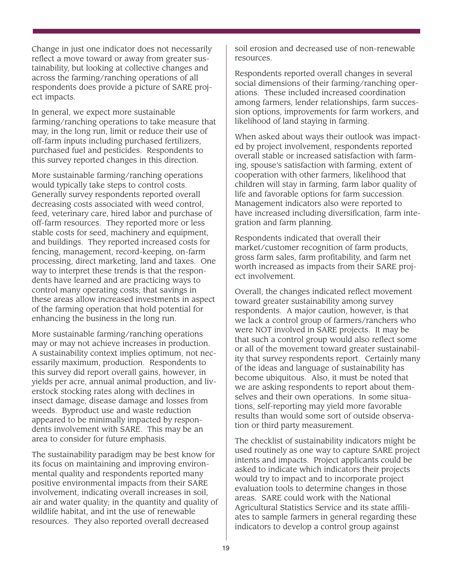Change in just one indicator does not necessarily reflect a move toward or away from greater sustainability, but looking at collective changes and across the farming/ranching operations of all respondents does provide a picture of SARE project impacts.

In general, we expect more sustainable farming/ranching operations to take measure that may, in the long run, limit or reduce their use of off-farm inputs including purchased fertilizers, purchased fuel and pesticides. Respondents to this survey reported changes in this direction.

More sustainable farming/ranching operations would typically take steps to control costs. Generally survey respondents reported overall decreasing costs associated with weed control, feed, veterinary care, hired labor and purchase of off-farm resources. They reported more or less stable costs for seed, machinery and equipment, and buildings. They reported increased costs for fencing, management, record-keeping, on-farm processing, direct marketing, land and taxes. One way to interpret these trends is that the respondents have learned and are practicing ways to control many operating costs; that savings in these areas allow increased investments in aspect of the farming operation that hold potential for enhancing the business in the long run.

More sustainable farming/ranching operations may or may not achieve increases in production. A sustainability context implies optimum, not necessarily maximum, production. Respondents to this survey did report overall gains, however, in yields per acre, annual animal production, and liverstock stocking rates along with declines in insect damage, disease damage and losses from weeds. Byproduct use and waste reduction appeared to be minimally impacted by respondents involvement with SARE. This may be an area to consider for future emphasis.

The sustainability paradigm may be best know for its focus on maintaining and improving environmental quality and respondents reported many positive environmental impacts from their SARE involvement, indicating overall increases in soil, air and water quality; in the quantity and quality of wildlife habitat, and int the use of renewable resources. They also reported overall decreased

soil erosion and decreased use of non-renewable resources.

Respondents reported overall changes in several social dimensions of their farming/ranching operations. These included increased coordination among farmers, lender relationships, farm succession options, improvements for farm workers, and likelihood of land staying in farming.

When asked about ways their outlook was impacted by project involvement, respondents reported overall stable or increased satisfaction with farming, spouse's satisfaction with farming, extent of cooperation with other farmers, likelihood that children will stay in farming, farm labor quality of life and favorable options for farm succession. Management indicators also were reported to have increased including diversification, farm integration and farm planning.

Respondents indicated that overall their market/customer recognition of farm products, gross farm sales, farm profitability, and farm net worth increased as impacts from their SARE project involvement.

Overall, the changes indicated reflect movement toward greater sustainability among survey respondents. A major caution, however, is that we lack a control group of farmers/ranchers who were NOT involved in SARE projects. It may be that such a control group would also reflect some or all of the movement toward greater sustainability that survey respondents report. Certainly many of the ideas and language of sustainability has become ubiquitous. Also, it must be noted that we are asking respondents to report about themselves and their own operations. In some situations, self-reporting may yield more favorable results than would some sort of outside observation or third party measurement.

The checklist of sustainability indicators might be used routinely as one way to capture SARE project intents and impacts. Project applicants could be asked to indicate which indicators their projects would try to impact and to incorporate project evaluation tools to determine changes in those areas. SARE could work with the National Agricultural Statistics Service and its state affiliates to sample farmers in general regarding these indicators to develop a control group against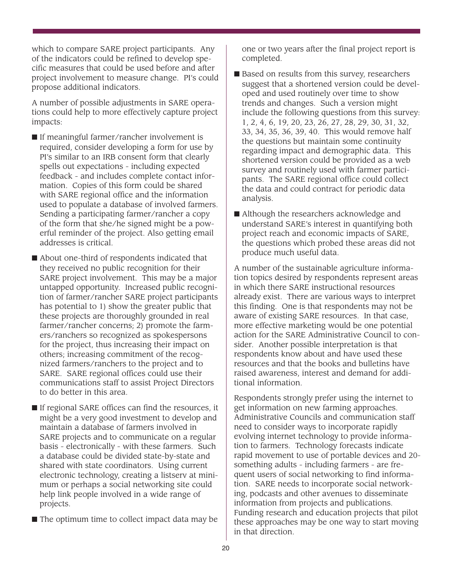which to compare SARE project participants. Any of the indicators could be refined to develop specific measures that could be used before and after project involvement to measure change. PI's could propose additional indicators.

A number of possible adjustments in SARE operations could help to more effectively capture project impacts:

- If meaningful farmer/rancher involvement is required, consider developing a form for use by PI's similar to an IRB consent form that clearly spells out expectations - including expected feedback - and includes complete contact information. Copies of this form could be shared with SARE regional office and the information used to populate a database of involved farmers. Sending a participating farmer/rancher a copy of the form that she/he signed might be a powerful reminder of the project. Also getting email addresses is critical.
- About one-third of respondents indicated that they received no public recognition for their SARE project involvement. This may be a major untapped opportunity. Increased public recognition of farmer/rancher SARE project participants has potential to 1) show the greater public that these projects are thoroughly grounded in real farmer/rancher concerns; 2) promote the farmers/ranchers so recognized as spokespersons for the project, thus increasing their impact on others; increasing commitment of the recognized farmers/ranchers to the project and to SARE. SARE regional offices could use their communications staff to assist Project Directors to do better in this area.
- If regional SARE offices can find the resources, it might be a very good investment to develop and maintain a database of farmers involved in SARE projects and to communicate on a regular basis - electronically - with these farmers. Such a database could be divided state-by-state and shared with state coordinators. Using current electronic technology, creating a listserv at minimum or perhaps a social networking site could help link people involved in a wide range of projects.
- The optimum time to collect impact data may be

one or two years after the final project report is completed.

- Based on results from this survey, researchers suggest that a shortened version could be developed and used routinely over time to show trends and changes. Such a version might include the following questions from this survey: 1, 2, 4, 6, 19, 20, 23, 26, 27, 28, 29, 30, 31, 32, 33, 34, 35, 36, 39, 40. This would remove half the questions but maintain some continuity regarding impact and demographic data. This shortened version could be provided as a web survey and routinely used with farmer participants. The SARE regional office could collect the data and could contract for periodic data analysis.
- Although the researchers acknowledge and understand SARE's interest in quantifying both project reach and economic impacts of SARE, the questions which probed these areas did not produce much useful data.

A number of the sustainable agriculture information topics desired by respondents represent areas in which there SARE instructional resources already exist. There are various ways to interpret this finding. One is that respondents may not be aware of existing SARE resources. In that case, more effective marketing would be one potential action for the SARE Administrative Council to consider. Another possible interpretation is that respondents know about and have used these resources and that the books and bulletins have raised awareness, interest and demand for additional information.

Respondents strongly prefer using the internet to get information on new farming approaches. Administrative Councils and communication staff need to consider ways to incorporate rapidly evolving internet technology to provide information to farmers. Technology forecasts indicate rapid movement to use of portable devices and 20 something adults - including farmers - are frequent users of social networking to find information. SARE needs to incorporate social networking, podcasts and other avenues to disseminate information from projects and publications. Funding research and education projects that pilot these approaches may be one way to start moving in that direction.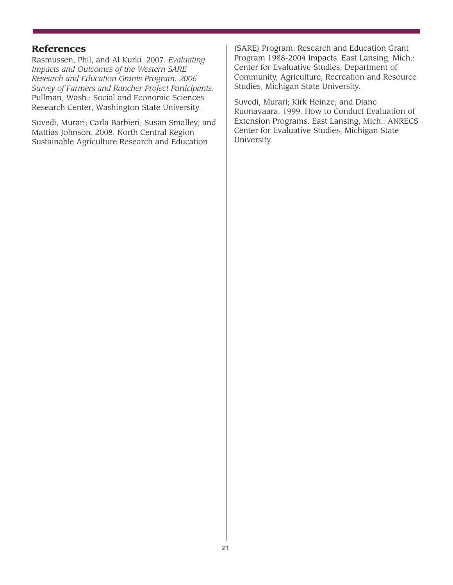### **References**

Rasmussen, Phil, and Al Kurki. 2007. *Evaluating Impacts and Outcomes of the Western SARE Research and Education Grants Program: 2006 Survey of Farmers and Rancher Project Participants.* Pullman, Wash.: Social and Economic Sciences Research Center, Washington State University.

Suvedi, Murari; Carla Barbieri; Susan Smalley; and Mattias Johnson. 2008. North Central Region Sustainable Agriculture Research and Education

(SARE) Program: Research and Education Grant Program 1988-2004 Impacts. East Lansing, Mich.: Center for Evaluative Studies, Department of Community, Agriculture, Recreation and Resource Studies, Michigan State University.

Suvedi, Murari; Kirk Heinze; and Diane Ruonavaara. 1999. How to Conduct Evaluation of Extension Programs. East Lansing, Mich.: ANRECS Center for Evaluative Studies, Michigan State University.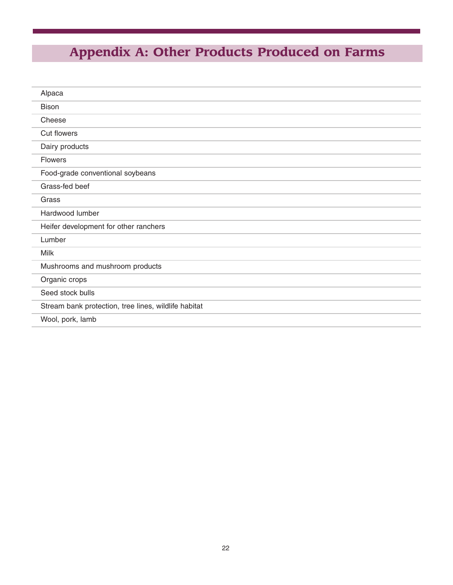# **Appendix A: Other Products Produced on Farms**

| Alpaca                                               |
|------------------------------------------------------|
| <b>Bison</b>                                         |
| Cheese                                               |
| <b>Cut flowers</b>                                   |
| Dairy products                                       |
| Flowers                                              |
| Food-grade conventional soybeans                     |
| Grass-fed beef                                       |
| Grass                                                |
| Hardwood lumber                                      |
| Heifer development for other ranchers                |
| Lumber                                               |
| <b>Milk</b>                                          |
| Mushrooms and mushroom products                      |
| Organic crops                                        |
| Seed stock bulls                                     |
| Stream bank protection, tree lines, wildlife habitat |
| Wool, pork, lamb                                     |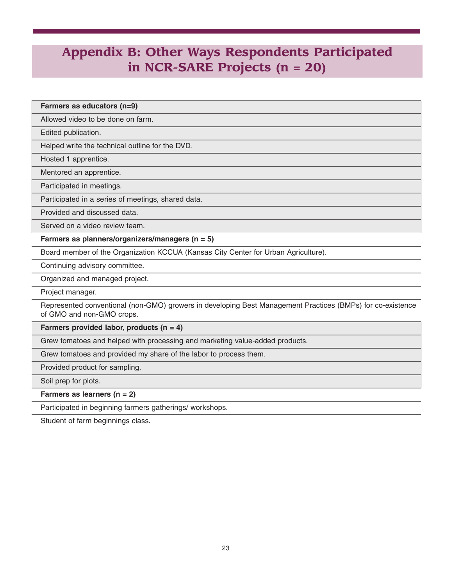## **Appendix B: Other Ways Respondents Participated in NCR-SARE Projects (n = 20)**

**Farmers as educators (n=9)**

Allowed video to be done on farm.

Edited publication.

Helped write the technical outline for the DVD.

Hosted 1 apprentice.

Mentored an apprentice.

Participated in meetings.

Participated in a series of meetings, shared data.

Provided and discussed data.

Served on a video review team.

**Farmers as planners/organizers/managers (n = 5)**

Board member of the Organization KCCUA (Kansas City Center for Urban Agriculture).

Continuing advisory committee.

Organized and managed project.

Project manager.

Represented conventional (non-GMO) growers in developing Best Management Practices (BMPs) for co-existence of GMO and non-GMO crops.

**Farmers provided labor, products (n = 4)**

Grew tomatoes and helped with processing and marketing value-added products.

Grew tomatoes and provided my share of the labor to process them.

Provided product for sampling.

Soil prep for plots.

**Farmers as learners (n = 2)**

Participated in beginning farmers gatherings/ workshops.

Student of farm beginnings class.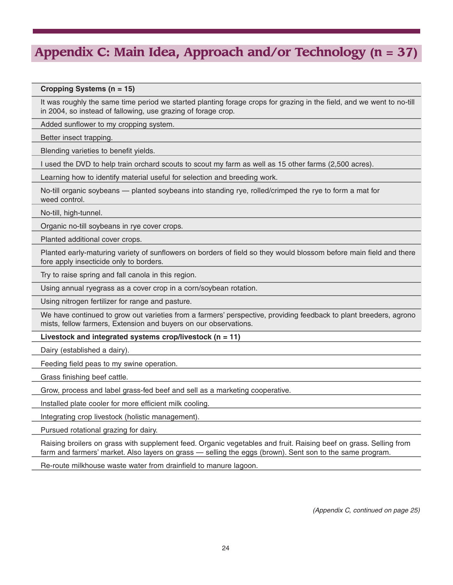# **Appendix C: Main Idea, Approach and/or Technology (n = 37)**

#### **Cropping Systems (n = 15)**

It was roughly the same time period we started planting forage crops for grazing in the field, and we went to no-till in 2004, so instead of fallowing, use grazing of forage crop.

Added sunflower to my cropping system.

Better insect trapping.

Blending varieties to benefit yields.

I used the DVD to help train orchard scouts to scout my farm as well as 15 other farms (2,500 acres).

Learning how to identify material useful for selection and breeding work.

No-till organic soybeans — planted soybeans into standing rye, rolled/crimped the rye to form a mat for weed control.

No-till, high-tunnel.

Organic no-till soybeans in rye cover crops.

Planted additional cover crops.

Planted early-maturing variety of sunflowers on borders of field so they would blossom before main field and there fore apply insecticide only to borders.

Try to raise spring and fall canola in this region.

Using annual ryegrass as a cover crop in a corn/soybean rotation.

Using nitrogen fertilizer for range and pasture.

We have continued to grow out varieties from a farmers' perspective, providing feedback to plant breeders, agrono mists, fellow farmers, Extension and buyers on our observations.

#### **Livestock and integrated systems crop/livestock (n = 11)**

Dairy (established a dairy).

Feeding field peas to my swine operation.

Grass finishing beef cattle.

Grow, process and label grass-fed beef and sell as a marketing cooperative.

Installed plate cooler for more efficient milk cooling.

Integrating crop livestock (holistic management).

Pursued rotational grazing for dairy.

Raising broilers on grass with supplement feed. Organic vegetables and fruit. Raising beef on grass. Selling from farm and farmers' market. Also layers on grass — selling the eggs (brown). Sent son to the same program.

Re-route milkhouse waste water from drainfield to manure lagoon.

*(Appendix C, continued on page 25)*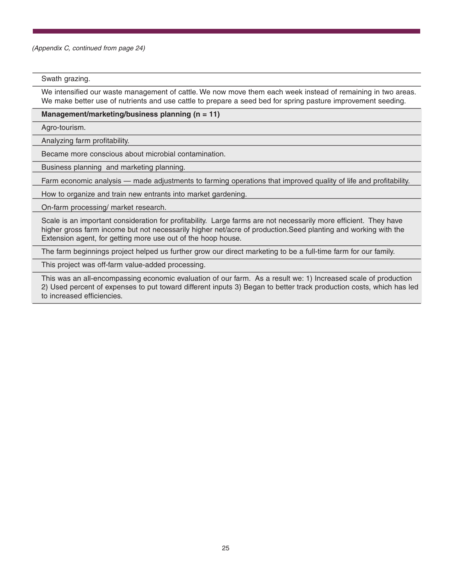*(Appendix C, continued from page 24)*

#### Swath grazing.

We intensified our waste management of cattle. We now move them each week instead of remaining in two areas. We make better use of nutrients and use cattle to prepare a seed bed for spring pasture improvement seeding.

#### **Management/marketing/business planning (n = 11)**

Agro-tourism.

Analyzing farm profitability.

Became more conscious about microbial contamination.

Business planning and marketing planning.

Farm economic analysis — made adjustments to farming operations that improved quality of life and profitability.

How to organize and train new entrants into market gardening.

On-farm processing/ market research.

Scale is an important consideration for profitability. Large farms are not necessarily more efficient. They have higher gross farm income but not necessarily higher net/acre of production.Seed planting and working with the Extension agent, for getting more use out of the hoop house.

The farm beginnings project helped us further grow our direct marketing to be a full-time farm for our family.

This project was off-farm value-added processing.

This was an all-encompassing economic evaluation of our farm. As a result we: 1) Increased scale of production 2) Used percent of expenses to put toward different inputs 3) Began to better track production costs, which has led to increased efficiencies.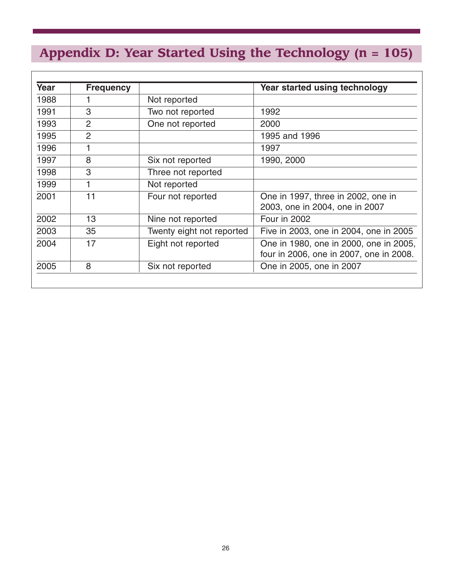# **Appendix D: Year Started Using the Technology (n = 105)**

| Year | <b>Frequency</b> |                           | Year started using technology           |
|------|------------------|---------------------------|-----------------------------------------|
| 1988 |                  | Not reported              |                                         |
| 1991 | 3                | Two not reported          | 1992                                    |
| 1993 | 2                | One not reported          | 2000                                    |
| 1995 | $\overline{2}$   |                           | 1995 and 1996                           |
| 1996 | 1                |                           | 1997                                    |
| 1997 | 8                | Six not reported          | 1990, 2000                              |
| 1998 | 3                | Three not reported        |                                         |
| 1999 | 1                | Not reported              |                                         |
| 2001 | 11               | Four not reported         | One in 1997, three in 2002, one in      |
|      |                  |                           | 2003, one in 2004, one in 2007          |
| 2002 | 13               | Nine not reported         | Four in 2002                            |
| 2003 | 35               | Twenty eight not reported | Five in 2003, one in 2004, one in 2005  |
| 2004 | 17               | Eight not reported        | One in 1980, one in 2000, one in 2005,  |
|      |                  |                           | four in 2006, one in 2007, one in 2008. |
| 2005 | 8                | Six not reported          | One in 2005, one in 2007                |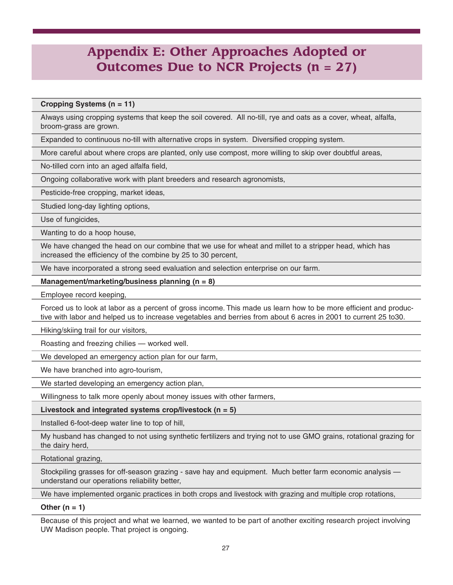# **Appendix E: Other Approaches Adopted or Outcomes Due to NCR Projects (n = 27)**

#### **Cropping Systems (n = 11)**

Always using cropping systems that keep the soil covered. All no-till, rye and oats as a cover, wheat, alfalfa, broom-grass are grown.

Expanded to continuous no-till with alternative crops in system. Diversified cropping system.

More careful about where crops are planted, only use compost, more willing to skip over doubtful areas,

No-tilled corn into an aged alfalfa field,

Ongoing collaborative work with plant breeders and research agronomists,

Pesticide-free cropping, market ideas,

Studied long-day lighting options,

Use of fungicides,

Wanting to do a hoop house,

We have changed the head on our combine that we use for wheat and millet to a stripper head, which has increased the efficiency of the combine by 25 to 30 percent,

We have incorporated a strong seed evaluation and selection enterprise on our farm.

**Management/marketing/business planning (n = 8)**

Employee record keeping,

Forced us to look at labor as a percent of gross income. This made us learn how to be more efficient and productive with labor and helped us to increase vegetables and berries from about 6 acres in 2001 to current 25 to30.

Hiking/skiing trail for our visitors,

Roasting and freezing chilies — worked well.

We developed an emergency action plan for our farm,

We have branched into agro-tourism,

We started developing an emergency action plan,

Willingness to talk more openly about money issues with other farmers,

#### **Livestock and integrated systems crop/livestock (n = 5)**

Installed 6-foot-deep water line to top of hill,

My husband has changed to not using synthetic fertilizers and trying not to use GMO grains, rotational grazing for the dairy herd,

Rotational grazing,

Stockpiling grasses for off-season grazing - save hay and equipment. Much better farm economic analysis understand our operations reliability better,

We have implemented organic practices in both crops and livestock with grazing and multiple crop rotations,

#### **Other (n = 1)**

Because of this project and what we learned, we wanted to be part of another exciting research project involving UW Madison people. That project is ongoing.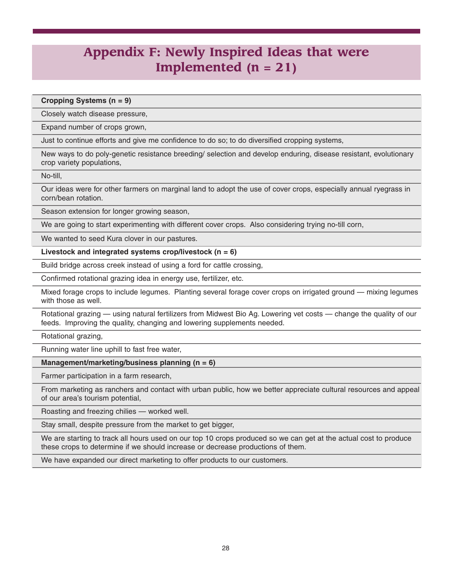# **Appendix F: Newly Inspired Ideas that were Implemented (n = 21)**

**Cropping Systems (n = 9)**

Closely watch disease pressure,

Expand number of crops grown,

Just to continue efforts and give me confidence to do so; to do diversified cropping systems,

New ways to do poly-genetic resistance breeding/ selection and develop enduring, disease resistant, evolutionary crop variety populations,

No-till,

Our ideas were for other farmers on marginal land to adopt the use of cover crops, especially annual ryegrass in corn/bean rotation.

Season extension for longer growing season,

We are going to start experimenting with different cover crops. Also considering trying no-till corn,

We wanted to seed Kura clover in our pastures.

**Livestock and integrated systems crop/livestock (n = 6)**

Build bridge across creek instead of using a ford for cattle crossing,

Confirmed rotational grazing idea in energy use, fertilizer, etc.

Mixed forage crops to include legumes. Planting several forage cover crops on irrigated ground — mixing legumes with those as well.

Rotational grazing — using natural fertilizers from Midwest Bio Ag. Lowering vet costs — change the quality of our feeds. Improving the quality, changing and lowering supplements needed.

Rotational grazing,

Running water line uphill to fast free water,

#### **Management/marketing/business planning (n = 6)**

Farmer participation in a farm research,

From marketing as ranchers and contact with urban public, how we better appreciate cultural resources and appeal of our area's tourism potential,

Roasting and freezing chilies — worked well.

Stay small, despite pressure from the market to get bigger,

We are starting to track all hours used on our top 10 crops produced so we can get at the actual cost to produce these crops to determine if we should increase or decrease productions of them.

We have expanded our direct marketing to offer products to our customers.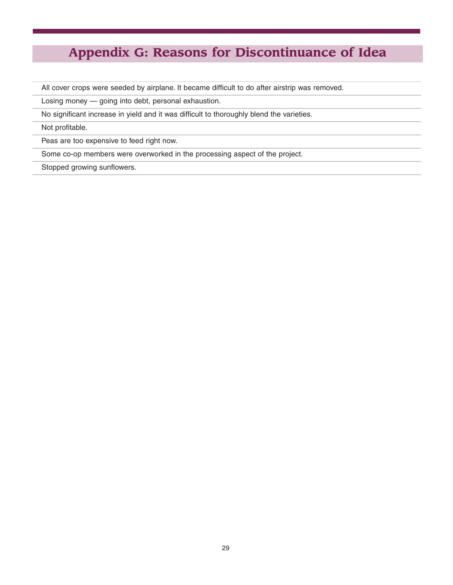# **Appendix G: Reasons for Discontinuance of Idea**

All cover crops were seeded by airplane. It became difficult to do after airstrip was removed.

Losing money — going into debt, personal exhaustion.

No significant increase in yield and it was difficult to thoroughly blend the varieties.

Not profitable.

Peas are too expensive to feed right now.

Some co-op members were overworked in the processing aspect of the project.

Stopped growing sunflowers.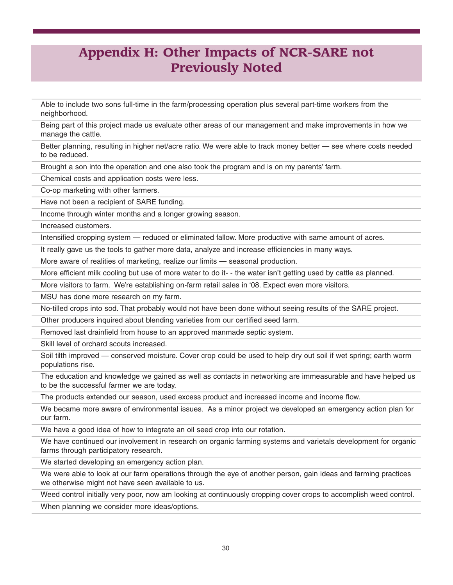## **Appendix H: Other Impacts of NCR-SARE not Previously Noted**

Able to include two sons full-time in the farm/processing operation plus several part-time workers from the neighborhood.

Being part of this project made us evaluate other areas of our management and make improvements in how we manage the cattle.

Better planning, resulting in higher net/acre ratio. We were able to track money better — see where costs needed to be reduced.

Brought a son into the operation and one also took the program and is on my parents' farm.

Chemical costs and application costs were less.

Co-op marketing with other farmers.

Have not been a recipient of SARE funding.

Income through winter months and a longer growing season.

Increased customers.

Intensified cropping system — reduced or eliminated fallow. More productive with same amount of acres.

It really gave us the tools to gather more data, analyze and increase efficiencies in many ways.

More aware of realities of marketing, realize our limits — seasonal production.

More efficient milk cooling but use of more water to do it- - the water isn't getting used by cattle as planned.

More visitors to farm. We're establishing on-farm retail sales in '08. Expect even more visitors.

MSU has done more research on my farm.

No-tilled crops into sod. That probably would not have been done without seeing results of the SARE project.

Other producers inquired about blending varieties from our certified seed farm.

Removed last drainfield from house to an approved manmade septic system.

Skill level of orchard scouts increased.

Soil tilth improved — conserved moisture. Cover crop could be used to help dry out soil if wet spring; earth worm populations rise.

The education and knowledge we gained as well as contacts in networking are immeasurable and have helped us to be the successful farmer we are today.

The products extended our season, used excess product and increased income and income flow.

We became more aware of environmental issues. As a minor project we developed an emergency action plan for our farm.

We have a good idea of how to integrate an oil seed crop into our rotation.

We have continued our involvement in research on organic farming systems and varietals development for organic farms through participatory research.

We started developing an emergency action plan.

We were able to look at our farm operations through the eye of another person, gain ideas and farming practices we otherwise might not have seen available to us.

Weed control initially very poor, now am looking at continuously cropping cover crops to accomplish weed control.

When planning we consider more ideas/options.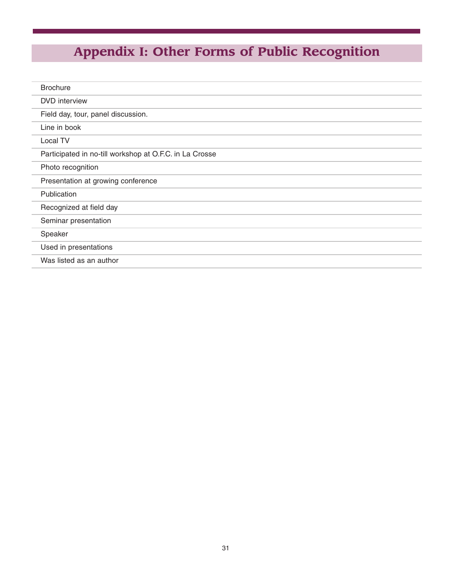# **Appendix I: Other Forms of Public Recognition**

| <b>Brochure</b>                                         |
|---------------------------------------------------------|
| <b>DVD</b> interview                                    |
| Field day, tour, panel discussion.                      |
| Line in book                                            |
| Local TV                                                |
| Participated in no-till workshop at O.F.C. in La Crosse |
| Photo recognition                                       |
| Presentation at growing conference                      |
| Publication                                             |
| Recognized at field day                                 |
| Seminar presentation                                    |
| Speaker                                                 |
| Used in presentations                                   |
| Was listed as an author                                 |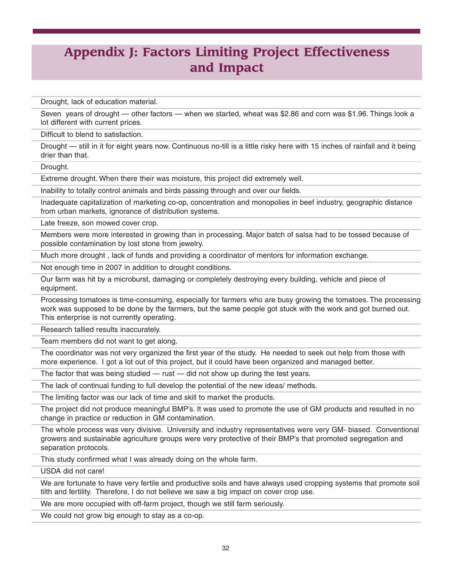# **Appendix J: Factors Limiting Project Effectiveness and Impact**

Drought, lack of education material.

Seven years of drought — other factors — when we started, wheat was \$2.86 and corn was \$1.96. Things look a lot different with current prices.

Difficult to blend to satisfaction.

Drought — still in it for eight years now. Continuous no-till is a little risky here with 15 inches of rainfall and it being drier than that.

Drought.

Extreme drought. When there their was moisture, this project did extremely well.

Inability to totally control animals and birds passing through and over our fields.

Inadequate capitalization of marketing co-op, concentration and monopolies in beef industry, geographic distance from urban markets, ignorance of distribution systems.

Late freeze, son mowed cover crop.

Members were more interested in growing than in processing. Major batch of salsa had to be tossed because of possible contamination by lost stone from jewelry.

Much more drought , lack of funds and providing a coordinator of mentors for information exchange.

Not enough time in 2007 in addition to drought conditions.

Our farm was hit by a microburst, damaging or completely destroying every building, vehicle and piece of equipment.

Processing tomatoes is time-consuming, especially for farmers who are busy growing the tomatoes. The processing work was supposed to be done by the farmers, but the same people got stuck with the work and got burned out. This enterprise is not currently operating.

Research tallied results inaccurately.

Team members did not want to get along.

The coordinator was not very organized the first year of the study. He needed to seek out help from those with more experience. I got a lot out of this project, but it could have been organized and managed better.

The factor that was being studied  $-$  rust  $-$  did not show up during the test years.

The lack of continual funding to full develop the potential of the new ideas/ methods.

The limiting factor was our lack of time and skill to market the products.

The project did not produce meaningful BMP's. It was used to promote the use of GM products and resulted in no change in practice or reduction in GM contamination.

The whole process was very divisive. University and industry representatives were very GM- biased. Conventional growers and sustainable agriculture groups were very protective of their BMP's that promoted segregation and separation protocols.

This study confirmed what I was already doing on the whole farm.

USDA did not care!

We are fortunate to have very fertile and productive soils and have always used cropping systems that promote soil tilth and fertility. Therefore, I do not believe we saw a big impact on cover crop use.

We are more occupied with off-farm project, though we still farm seriously.

We could not grow big enough to stay as a co-op.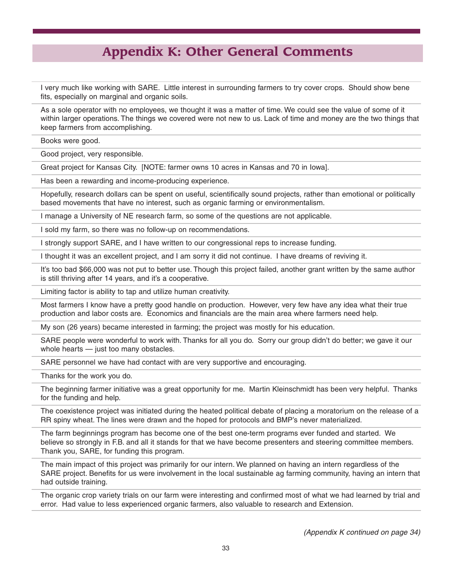## **Appendix K: Other General Comments**

I very much like working with SARE. Little interest in surrounding farmers to try cover crops. Should show bene fits, especially on marginal and organic soils.

As a sole operator with no employees, we thought it was a matter of time. We could see the value of some of it within larger operations. The things we covered were not new to us. Lack of time and money are the two things that keep farmers from accomplishing.

Books were good.

Good project, very responsible.

Great project for Kansas City. [NOTE: farmer owns 10 acres in Kansas and 70 in Iowa].

Has been a rewarding and income-producing experience.

Hopefully, research dollars can be spent on useful, scientifically sound projects, rather than emotional or politically based movements that have no interest, such as organic farming or environmentalism.

I manage a University of NE research farm, so some of the questions are not applicable.

I sold my farm, so there was no follow-up on recommendations.

I strongly support SARE, and I have written to our congressional reps to increase funding.

I thought it was an excellent project, and I am sorry it did not continue. I have dreams of reviving it.

It's too bad \$66,000 was not put to better use. Though this project failed, another grant written by the same author is still thriving after 14 years, and it's a cooperative.

Limiting factor is ability to tap and utilize human creativity.

Most farmers I know have a pretty good handle on production. However, very few have any idea what their true production and labor costs are. Economics and financials are the main area where farmers need help.

My son (26 years) became interested in farming; the project was mostly for his education.

SARE people were wonderful to work with. Thanks for all you do. Sorry our group didn't do better; we gave it our whole hearts — just too many obstacles.

SARE personnel we have had contact with are very supportive and encouraging.

Thanks for the work you do.

The beginning farmer initiative was a great opportunity for me. Martin Kleinschmidt has been very helpful. Thanks for the funding and help.

The coexistence project was initiated during the heated political debate of placing a moratorium on the release of a RR spiny wheat. The lines were drawn and the hoped for protocols and BMP's never materialized.

The farm beginnings program has become one of the best one-term programs ever funded and started. We believe so strongly in F.B. and all it stands for that we have become presenters and steering committee members. Thank you, SARE, for funding this program.

The main impact of this project was primarily for our intern. We planned on having an intern regardless of the SARE project. Benefits for us were involvement in the local sustainable ag farming community, having an intern that had outside training.

The organic crop variety trials on our farm were interesting and confirmed most of what we had learned by trial and error. Had value to less experienced organic farmers, also valuable to research and Extension.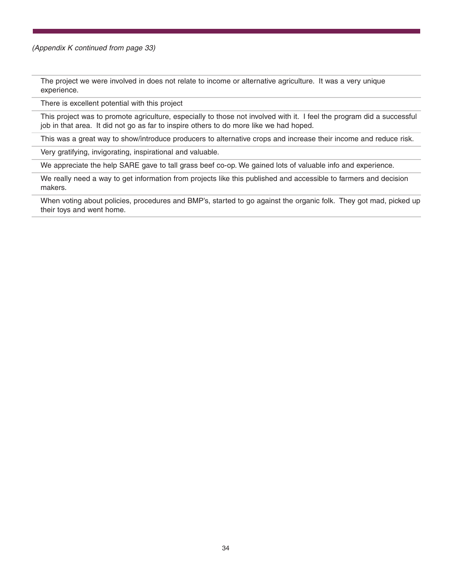*(Appendix K continued from page 33)*

The project we were involved in does not relate to income or alternative agriculture. It was a very unique experience.

There is excellent potential with this project

This project was to promote agriculture, especially to those not involved with it. I feel the program did a successful job in that area. It did not go as far to inspire others to do more like we had hoped.

This was a great way to show/introduce producers to alternative crops and increase their income and reduce risk.

Very gratifying, invigorating, inspirational and valuable.

We appreciate the help SARE gave to tall grass beef co-op. We gained lots of valuable info and experience.

We really need a way to get information from projects like this published and accessible to farmers and decision makers.

When voting about policies, procedures and BMP's, started to go against the organic folk. They got mad, picked up their toys and went home.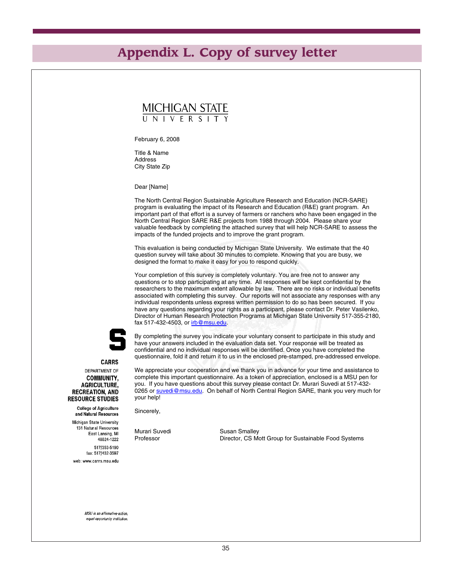## **Appendix L. Copy of survey letter**

# MICHIGAN STATE

February 6, 2008

Title & Name Address City State Zip

Dear [Name]

The North Central Region Sustainable Agriculture Research and Education (NCR-SARE) program is evaluating the impact of its Research and Education (R&E) grant program. An important part of that effort is a survey of farmers or ranchers who have been engaged in the North Central Region SARE R&E projects from 1988 through 2004. Please share your valuable feedback by completing the attached survey that will help NCR-SARE to assess the impacts of the funded projects and to improve the grant program.

This evaluation is being conducted by Michigan State University. We estimate that the 40 question survey will take about 30 minutes to complete. Knowing that you are busy, we designed the format to make it easy for you to respond quickly.

Your completion of this survey is completely voluntary. You are free not to answer any questions or to stop participating at any time. All responses will be kept confidential by the researchers to the maximum extent allowable by law. There are no risks or individual benefits associated with completing this survey. Our reports will not associate any responses with any individual respondents unless express written permission to do so has been secured. If you have any questions regarding your rights as a participant, please contact Dr. Peter Vasilenko, Director of Human Research Protection Programs at Michigan State University 517-355-2180, fax 517-432-4503, or irb@msu.edu.



By completing the survey you indicate your voluntary consent to participate in this study and have your answers included in the evaluation data set. Your response will be treated as confidential and no individual responses will be identified. Once you have completed the questionnaire, fold it and return it to us in the enclosed pre-stamped, pre-addressed envelope.

**CARRS** 

#### DEPARTMENT OF **COMMUNITY. AGRICULTURE. RECREATION, AND RESOURCE STUDIES**

**College of Agriculture** and Natural Resources

Michigan State University 131 Natural Resources East Lansing, MI 48824-1222 517/353-5190 fax: 517/432-3597 web: www.carrs.msu.edu

We appreciate your cooperation and we thank you in advance for your time and assistance to complete this important questionnaire. As a token of appreciation, enclosed is a MSU pen for you. If you have questions about this survey please contact Dr. Murari Suvedi at 517-432- 0265 or suvedi@msu.edu. On behalf of North Central Region SARE, thank you very much for your help!

Sincerely,

Murari Suvedi Susan Smalley

Professor **Director, CS Mott Group for Sustainable Food Systems** 

MSU is an affirmative-action equal-opportunity institution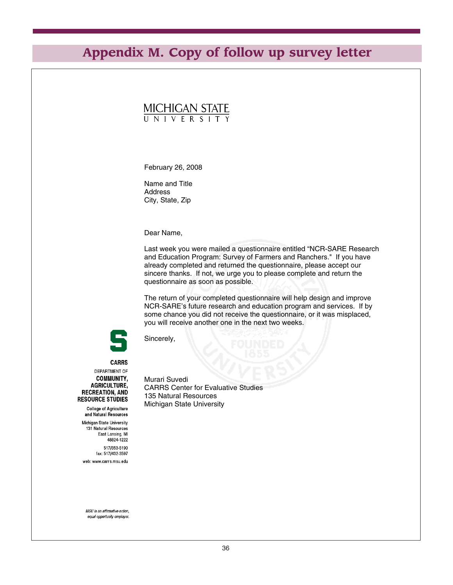# **Appendix M. Copy of follow up survey letter**

# MICHIGAN STATE

February 26, 2008

Name and Title Address City, State, Zip

Dear Name,

Last week you were mailed a questionnaire entitled "NCR-SARE Research and Education Program: Survey of Farmers and Ranchers." If you have already completed and returned the questionnaire, please accept our sincere thanks. If not, we urge you to please complete and return the questionnaire as soon as possible.

The return of your completed questionnaire will help design and improve NCR-SARE's future research and education program and services. If by some chance you did not receive the questionnaire, or it was misplaced, you will receive another one in the next two weeks.



Sincerely,

**CARRS** DEPARTMENT OF **COMMUNITY, AGRICULTURE, RECREATION, AND RESOURCE STUDIES** 

**College of Agriculture** and Natural Resources Michigan State University 131 Natural Resources East Lansing, MI 48824-1222

517/353-5190 fax: 517/432-3597 web: www.carrs.msu.edu Murari Suvedi CARRS Center for Evaluative Studies 135 Natural Resources Michigan State University

MSU is an affirmative-action, equal-opportunity employer.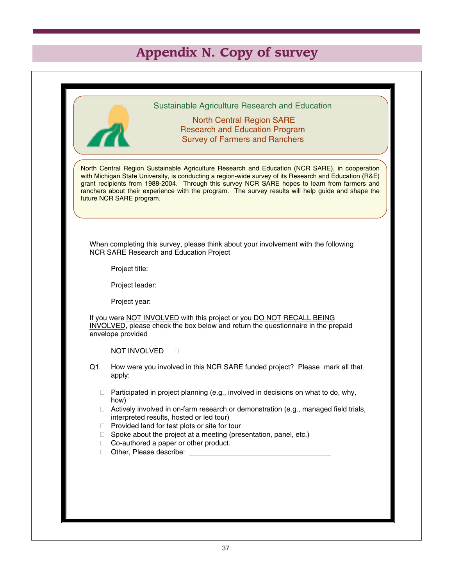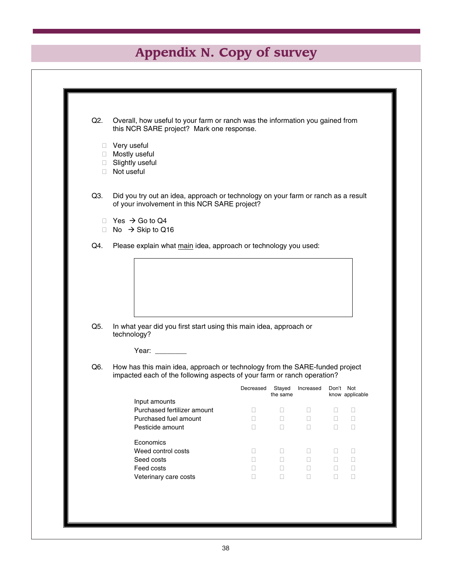| Q2.    | Overall, how useful to your farm or ranch was the information you gained from<br>this NCR SARE project? Mark one response.         |                  |                    |                  |                  |                  |
|--------|------------------------------------------------------------------------------------------------------------------------------------|------------------|--------------------|------------------|------------------|------------------|
|        | □ Very useful                                                                                                                      |                  |                    |                  |                  |                  |
| $\Box$ | □ Mostly useful<br>Slightly useful                                                                                                 |                  |                    |                  |                  |                  |
| $\Box$ | Not useful                                                                                                                         |                  |                    |                  |                  |                  |
| Q3.    | Did you try out an idea, approach or technology on your farm or ranch as a result<br>of your involvement in this NCR SARE project? |                  |                    |                  |                  |                  |
|        | $\Box$ Yes $\rightarrow$ Go to Q4                                                                                                  |                  |                    |                  |                  |                  |
| $\Box$ | No $\rightarrow$ Skip to Q16                                                                                                       |                  |                    |                  |                  |                  |
| Q4.    | Please explain what main idea, approach or technology you used:                                                                    |                  |                    |                  |                  |                  |
|        |                                                                                                                                    |                  |                    |                  |                  |                  |
|        |                                                                                                                                    |                  |                    |                  |                  |                  |
|        |                                                                                                                                    |                  |                    |                  |                  |                  |
|        |                                                                                                                                    |                  |                    |                  |                  |                  |
|        |                                                                                                                                    |                  |                    |                  |                  |                  |
|        |                                                                                                                                    |                  |                    |                  |                  |                  |
|        |                                                                                                                                    |                  |                    |                  |                  |                  |
| Q5.    | In what year did you first start using this main idea, approach or<br>technology?                                                  |                  |                    |                  |                  |                  |
|        | Year:                                                                                                                              |                  |                    |                  |                  |                  |
| Q6.    | How has this main idea, approach or technology from the SARE-funded project                                                        |                  |                    |                  |                  |                  |
|        | impacted each of the following aspects of your farm or ranch operation?                                                            |                  |                    |                  |                  |                  |
|        |                                                                                                                                    | Decreased        | Stayed<br>the same | Increased        | Don't Not        |                  |
|        | Input amounts                                                                                                                      |                  |                    |                  |                  |                  |
|        | Purchased fertilizer amount                                                                                                        | $\Box$           | $\Box$             | $\Box$           | $\Box$           | □                |
|        | Purchased fuel amount<br>Pesticide amount                                                                                          | $\Box$<br>$\Box$ | $\Box$<br>$\Box$   | $\Box$<br>$\Box$ | $\Box$<br>$\Box$ | $\Box$<br>$\Box$ |
|        |                                                                                                                                    |                  |                    |                  |                  |                  |
|        | Economics                                                                                                                          |                  |                    |                  |                  | know applicable  |
|        | Weed control costs                                                                                                                 | □                | $\Box$             | □                | □                | □                |
|        | Seed costs                                                                                                                         | $\Box$           | $\Box$             | □                | $\Box$           | $\Box$           |
|        | Feed costs<br>Veterinary care costs                                                                                                | П<br>$\Box$      | $\Box$<br>$\Box$   | □<br>□           | O<br>$\Box$      | $\Box$<br>$\Box$ |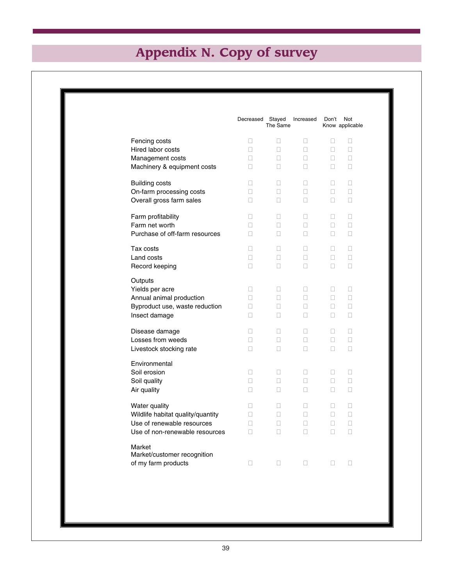|                                   | Decreased | Stayed<br>The Same | Increased | Don't  | Not<br>Know applicable |
|-----------------------------------|-----------|--------------------|-----------|--------|------------------------|
| Fencing costs                     | □         | □                  | $\Box$    | □      | □                      |
| Hired labor costs                 | П         | □                  | П         | $\Box$ | □                      |
| Management costs                  | П         | п                  | П         | П      | □                      |
| Machinery & equipment costs       | п         | п                  | П         | П      | □                      |
| <b>Building costs</b>             | п         | п                  | П         | П      | $\mathbf{L}$           |
| On-farm processing costs          | П         | п                  | П         | □      | □                      |
| Overall gross farm sales          | п         | □                  | □         | $\Box$ | □                      |
| Farm profitability                | П         | П                  | П         | П      | П                      |
| Farm net worth                    | П         | п                  | П         | $\Box$ | □                      |
| Purchase of off-farm resources    | П         | п                  | П         | П.     | □                      |
| Tax costs                         | П         | п                  | П         | П      | П                      |
| Land costs                        | П         | п                  | П         | П      | П                      |
| Record keeping                    | п         | п                  | П         | П      | П                      |
| Outputs<br>Yields per acre        | 0         | □                  | □         | □      | □                      |
| Annual animal production          | П         | П                  | П         | П      | $\Box$                 |
| Byproduct use, waste reduction    | П         | п                  | П         | П      | □                      |
| Insect damage                     | □         | □                  | □         | □      | □                      |
| Disease damage                    | O         | □                  | □         | □      | □                      |
| Losses from weeds                 | O         | □                  | $\Box$    | $\Box$ | □                      |
| Livestock stocking rate           | П         | п                  | $\Box$    | □      | □                      |
| Environmental                     |           |                    |           |        |                        |
| Soil erosion                      | П         | П                  | П         | П      | П                      |
| Soil quality                      | П         | П                  | П         | П      | П                      |
| Air quality                       | П         | п                  | П         | П      | П                      |
| Water quality                     | п         | П                  | П         | П      | П                      |
| Wildlife habitat quality/quantity | п         | п                  | П         | П      | П                      |
| Use of renewable resources        | П         | п                  | П         | П      | П                      |
| Use of non-renewable resources    | п         | п                  | П         | П      | П                      |
| Market                            |           |                    |           |        |                        |
| Market/customer recognition       |           |                    |           |        |                        |
| of my farm products               | □         | □                  | □         | □      | □                      |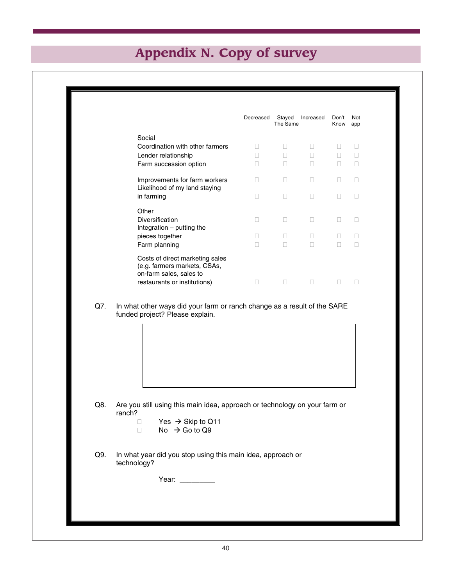|                                                                                            | Decreased | Stayed<br>The Same | Increased | Don't<br>Know | Not<br>app |
|--------------------------------------------------------------------------------------------|-----------|--------------------|-----------|---------------|------------|
| Social                                                                                     |           |                    |           |               |            |
| Coordination with other farmers                                                            |           |                    |           |               |            |
| Lender relationship                                                                        |           |                    |           |               |            |
| Farm succession option                                                                     |           |                    |           |               |            |
| Improvements for farm workers<br>Likelihood of my land staying                             | П         | H                  | г         | П             |            |
| in farming                                                                                 | ш         |                    |           |               |            |
| Other                                                                                      |           |                    |           |               |            |
| Diversification<br>Integration $-$ putting the                                             |           |                    |           |               |            |
| pieces together                                                                            |           |                    |           |               |            |
| Farm planning                                                                              |           |                    |           |               |            |
| Costs of direct marketing sales<br>(e.g. farmers markets, CSAs,<br>on-farm sales, sales to |           |                    |           |               |            |
| restaurants or institutions)                                                               |           |                    |           |               |            |

Q7. In what other ways did your farm or ranch change as a result of the SARE funded project? Please explain.



- Q8. Are you still using this main idea, approach or technology on your farm or ranch?
	- $\Box$  Yes  $\rightarrow$  Skip to Q11<br> $\Box$  No  $\rightarrow$  Go to Q9 No  $\rightarrow$  Go to Q9
- Q9. In what year did you stop using this main idea, approach or technology?

Year: \_\_\_\_\_\_\_\_\_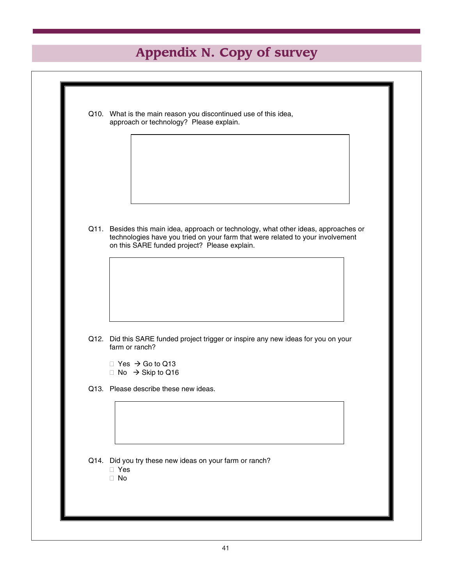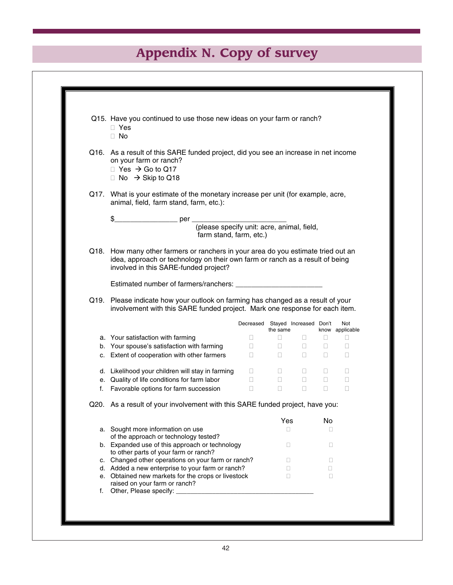| Q15. Have you continued to use those new ideas on your farm or ranch?<br>$\Box$ Yes<br>$\Box$ No                                                                                                           |                                                                |                                              |                                                                    |        |                        |
|------------------------------------------------------------------------------------------------------------------------------------------------------------------------------------------------------------|----------------------------------------------------------------|----------------------------------------------|--------------------------------------------------------------------|--------|------------------------|
| Q16. As a result of this SARE funded project, did you see an increase in net income<br>on your farm or ranch?<br>$\Box$ Yes $\rightarrow$ Go to Q17<br>$\Box$ No $\rightarrow$ Skip to Q18                 |                                                                |                                              |                                                                    |        |                        |
| Q17. What is your estimate of the monetary increase per unit (for example, acre,<br>animal, field, farm stand, farm, etc.):                                                                                |                                                                |                                              |                                                                    |        |                        |
|                                                                                                                                                                                                            |                                                                |                                              |                                                                    |        |                        |
| (please specify unit: acre, animal, field,<br>farm stand, farm, etc.)                                                                                                                                      |                                                                |                                              |                                                                    |        |                        |
| Q18. How many other farmers or ranchers in your area do you estimate tried out an<br>idea, approach or technology on their own farm or ranch as a result of being<br>involved in this SARE-funded project? |                                                                |                                              |                                                                    |        |                        |
|                                                                                                                                                                                                            |                                                                |                                              |                                                                    |        |                        |
| Q19. Please indicate how your outlook on farming has changed as a result of your<br>involvement with this SARE funded project. Mark one response for each item.                                            |                                                                |                                              |                                                                    |        |                        |
|                                                                                                                                                                                                            |                                                                | Decreased Stayed Increased Don't<br>the same |                                                                    |        | Not<br>know applicable |
| a. Your satisfaction with farming                                                                                                                                                                          | $\Box$                                                         | $\Box$                                       | $\Box$                                                             | $\Box$ | $\Box$                 |
| b. Your spouse's satisfaction with farming                                                                                                                                                                 | $\Box$ .                                                       |                                              | $\begin{array}{ccc} \square & \cdot & \square & \cdot \end{array}$ | $\Box$ | $\Box$                 |
| c. Extent of cooperation with other farmers                                                                                                                                                                | $\Box$                                                         |                                              | $\begin{array}{ccc} \square & \square & \square \end{array}$       | $\Box$ | $\Box$                 |
| d. Likelihood your children will stay in farming                                                                                                                                                           | $\Box$                                                         | $\Box$                                       | $\Box$                                                             | $\Box$ | $\Box$                 |
|                                                                                                                                                                                                            | $\overline{\phantom{a}}$ . The set of $\overline{\phantom{a}}$ | $\Box$                                       | $\Box$                                                             | $\Box$ | $\Box$                 |
|                                                                                                                                                                                                            |                                                                | $\Box$                                       | $\Box$                                                             | $\Box$ | П                      |
| e. Quality of life conditions for farm labor<br>f. Favorable options for farm succession                                                                                                                   | $\Box$                                                         |                                              |                                                                    |        |                        |
| Q20. As a result of your involvement with this SARE funded project, have you:                                                                                                                              |                                                                |                                              |                                                                    |        |                        |
|                                                                                                                                                                                                            |                                                                | Yes                                          |                                                                    | No     |                        |
| a. Sought more information on use                                                                                                                                                                          |                                                                | П                                            |                                                                    | П      |                        |
| of the approach or technology tested?                                                                                                                                                                      |                                                                |                                              |                                                                    |        |                        |
| b. Expanded use of this approach or technology                                                                                                                                                             |                                                                | O                                            |                                                                    | П      |                        |
| to other parts of your farm or ranch?<br>c. Changed other operations on your farm or ranch?                                                                                                                |                                                                | $\Box$                                       |                                                                    | П      |                        |
| d. Added a new enterprise to your farm or ranch?<br>e. Obtained new markets for the crops or livestock                                                                                                     |                                                                | $\Box$                                       |                                                                    | п      |                        |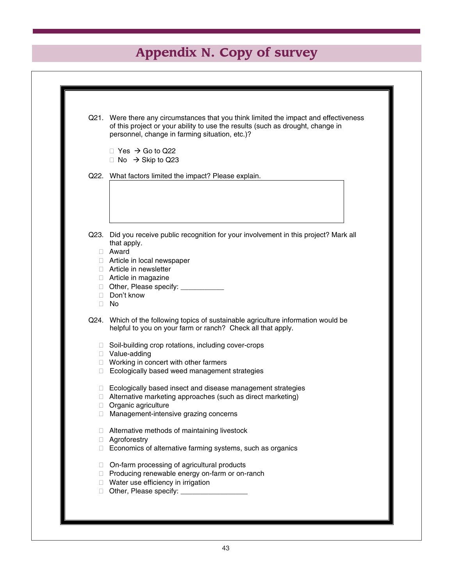|        | Q21. Were there any circumstances that you think limited the impact and effectiveness<br>of this project or your ability to use the results (such as drought, change in<br>personnel, change in farming situation, etc.)? |
|--------|---------------------------------------------------------------------------------------------------------------------------------------------------------------------------------------------------------------------------|
|        | $\Box$ Yes $\rightarrow$ Go to Q22<br>□ No $\rightarrow$ Skip to Q23                                                                                                                                                      |
|        | Q22. What factors limited the impact? Please explain.                                                                                                                                                                     |
|        |                                                                                                                                                                                                                           |
|        |                                                                                                                                                                                                                           |
|        | Q23. Did you receive public recognition for your involvement in this project? Mark all<br>that apply.                                                                                                                     |
|        | □ Award                                                                                                                                                                                                                   |
|        | Article in local newspaper<br>□ Article in newsletter                                                                                                                                                                     |
|        | □ Article in magazine                                                                                                                                                                                                     |
|        | Other, Please specify: ___________                                                                                                                                                                                        |
|        | Don't know                                                                                                                                                                                                                |
|        | $\Box$ No                                                                                                                                                                                                                 |
|        | Q24. Which of the following topics of sustainable agriculture information would be<br>helpful to you on your farm or ranch? Check all that apply.                                                                         |
|        | □ Soil-building crop rotations, including cover-crops<br>□ Value-adding                                                                                                                                                   |
|        | □ Working in concert with other farmers                                                                                                                                                                                   |
| $\Box$ | Ecologically based weed management strategies                                                                                                                                                                             |
|        | □ Ecologically based insect and disease management strategies                                                                                                                                                             |
|        | Alternative marketing approaches (such as direct marketing)                                                                                                                                                               |
| $\Box$ | Organic agriculture                                                                                                                                                                                                       |
|        | Management-intensive grazing concerns                                                                                                                                                                                     |
| H      | Alternative methods of maintaining livestock                                                                                                                                                                              |
| Π.     | Agroforestry                                                                                                                                                                                                              |
| $\Box$ | Economics of alternative farming systems, such as organics                                                                                                                                                                |
| $\Box$ | On-farm processing of agricultural products                                                                                                                                                                               |
|        | □ Producing renewable energy on-farm or on-ranch                                                                                                                                                                          |
|        | □ Water use efficiency in irrigation<br>Other, Please specify: ____________________                                                                                                                                       |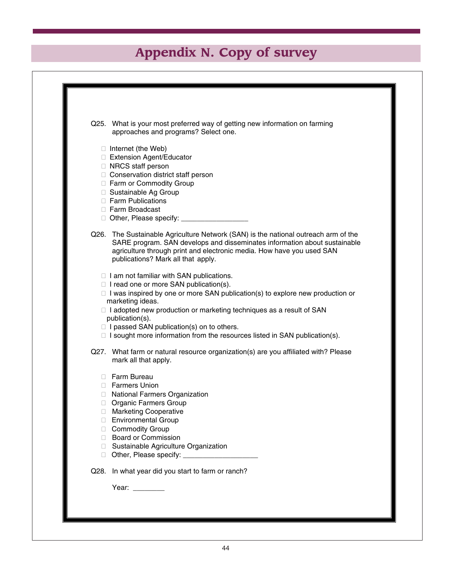|              | Q25. What is your most preferred way of getting new information on farming<br>approaches and programs? Select one.                                                                                                                                                             |
|--------------|--------------------------------------------------------------------------------------------------------------------------------------------------------------------------------------------------------------------------------------------------------------------------------|
|              | $\Box$ Internet (the Web)                                                                                                                                                                                                                                                      |
|              | □ Extension Agent/Educator                                                                                                                                                                                                                                                     |
|              | $\Box$ NRCS staff person<br>□ Conservation district staff person                                                                                                                                                                                                               |
|              | Farm or Commodity Group                                                                                                                                                                                                                                                        |
|              | □ Sustainable Ag Group                                                                                                                                                                                                                                                         |
|              | □ Farm Publications                                                                                                                                                                                                                                                            |
|              | □ Farm Broadcast                                                                                                                                                                                                                                                               |
|              | $\Box$ Other, Please specify: $\Box$                                                                                                                                                                                                                                           |
|              | Q26. The Sustainable Agriculture Network (SAN) is the national outreach arm of the<br>SARE program. SAN develops and disseminates information about sustainable<br>agriculture through print and electronic media. How have you used SAN<br>publications? Mark all that apply. |
|              | $\Box$ I am not familiar with SAN publications.                                                                                                                                                                                                                                |
|              | $\Box$ I read one or more SAN publication(s).                                                                                                                                                                                                                                  |
|              | $\Box$ I was inspired by one or more SAN publication(s) to explore new production or<br>marketing ideas.                                                                                                                                                                       |
|              | □ I adopted new production or marketing techniques as a result of SAN                                                                                                                                                                                                          |
|              | publication(s).                                                                                                                                                                                                                                                                |
|              | $\Box$ I passed SAN publication(s) on to others.                                                                                                                                                                                                                               |
|              | $\Box$ I sought more information from the resources listed in SAN publication(s).                                                                                                                                                                                              |
|              | Q27. What farm or natural resource organization(s) are you affiliated with? Please<br>mark all that apply.                                                                                                                                                                     |
| $\mathbf{L}$ | Farm Bureau                                                                                                                                                                                                                                                                    |
|              | <b>Farmers Union</b>                                                                                                                                                                                                                                                           |
|              | <b>National Farmers Organization</b>                                                                                                                                                                                                                                           |
|              | <b>Organic Farmers Group</b><br>□ Marketing Cooperative                                                                                                                                                                                                                        |
| П            | <b>Environmental Group</b>                                                                                                                                                                                                                                                     |
| П.           | <b>Commodity Group</b>                                                                                                                                                                                                                                                         |
| П.           | <b>Board or Commission</b>                                                                                                                                                                                                                                                     |
| П.           | Sustainable Agriculture Organization                                                                                                                                                                                                                                           |
| $\Box$       |                                                                                                                                                                                                                                                                                |
| Q28.         | In what year did you start to farm or ranch?                                                                                                                                                                                                                                   |
|              | Year: ________                                                                                                                                                                                                                                                                 |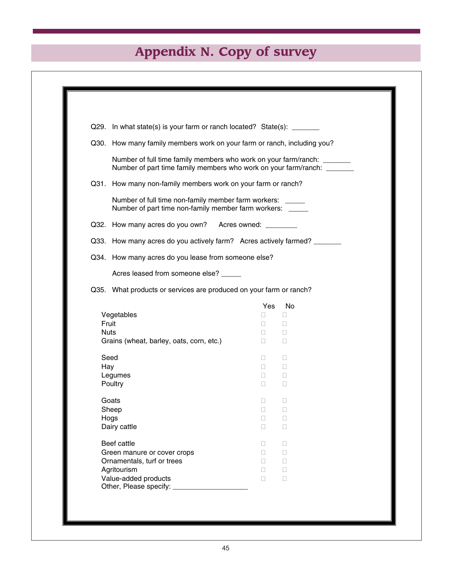|                                                                                                                                                   | Q29. In what state(s) is your farm or ranch located? State(s): _______  |              |  |  |
|---------------------------------------------------------------------------------------------------------------------------------------------------|-------------------------------------------------------------------------|--------------|--|--|
|                                                                                                                                                   | Q30. How many family members work on your farm or ranch, including you? |              |  |  |
| Number of full time family members who work on your farm/ranch: ______<br>Number of part time family members who work on your farm/ranch: _______ |                                                                         |              |  |  |
|                                                                                                                                                   | Q31. How many non-family members work on your farm or ranch?            |              |  |  |
| Number of full time non-family member farm workers: ____<br>Number of part time non-family member farm workers: ____                              |                                                                         |              |  |  |
| Q32. How many acres do you own? Acres owned: _______                                                                                              |                                                                         |              |  |  |
| Q33. How many acres do you actively farm? Acres actively farmed? ______                                                                           |                                                                         |              |  |  |
|                                                                                                                                                   | Q34. How many acres do you lease from someone else?                     |              |  |  |
| Acres leased from someone else? _____                                                                                                             |                                                                         |              |  |  |
| Q35. What products or services are produced on your farm or ranch?                                                                                |                                                                         |              |  |  |
|                                                                                                                                                   | Yes                                                                     | No           |  |  |
| Vegetables                                                                                                                                        | П                                                                       | □            |  |  |
| Fruit                                                                                                                                             | П.                                                                      | □            |  |  |
| <b>Nuts</b>                                                                                                                                       | $\Box$                                                                  | □            |  |  |
| Grains (wheat, barley, oats, corn, etc.)                                                                                                          | $\Box$                                                                  | □            |  |  |
| Seed                                                                                                                                              | П.                                                                      | П            |  |  |
| Hay                                                                                                                                               | П.                                                                      | $\mathbf{L}$ |  |  |
| Legumes                                                                                                                                           | П                                                                       | □            |  |  |
| Poultry                                                                                                                                           | П                                                                       | П            |  |  |
| Goats                                                                                                                                             | П                                                                       | □            |  |  |
| Sheep                                                                                                                                             | $\Box$                                                                  | $\Box$       |  |  |
| Hogs                                                                                                                                              | $\Box$                                                                  | $\Box$       |  |  |
| Dairy cattle                                                                                                                                      | $\Box$                                                                  | П            |  |  |
| Beef cattle                                                                                                                                       | П                                                                       | □            |  |  |
| Green manure or cover crops                                                                                                                       | П                                                                       | □            |  |  |
| Ornamentals, turf or trees                                                                                                                        | П                                                                       | $\Box$       |  |  |
| Agritourism                                                                                                                                       | П                                                                       | $\Box$       |  |  |
| Value-added products                                                                                                                              |                                                                         | $\Box$       |  |  |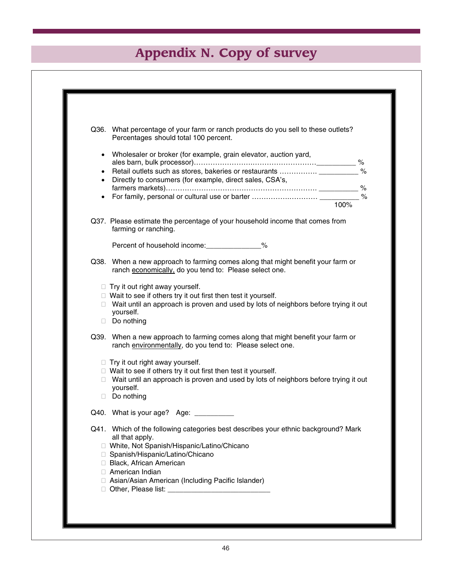| Q36. What percentage of your farm or ranch products do you sell to these outlets?<br>Percentages should total 100 percent.                   |
|----------------------------------------------------------------------------------------------------------------------------------------------|
| • Wholesaler or broker (for example, grain elevator, auction yard,                                                                           |
|                                                                                                                                              |
|                                                                                                                                              |
| • Directly to consumers (for example, direct sales, CSA's,                                                                                   |
|                                                                                                                                              |
| 100%                                                                                                                                         |
|                                                                                                                                              |
| Q37. Please estimate the percentage of your household income that comes from<br>farming or ranching.                                         |
| Percent of household income:________________%                                                                                                |
| Q38. When a new approach to farming comes along that might benefit your farm or<br>ranch economically, do you tend to: Please select one.    |
| $\Box$ Try it out right away yourself.                                                                                                       |
| $\Box$ Wait to see if others try it out first then test it yourself.                                                                         |
| □ Wait until an approach is proven and used by lots of neighbors before trying it out                                                        |
| yourself.                                                                                                                                    |
| Do nothing                                                                                                                                   |
| Q39. When a new approach to farming comes along that might benefit your farm or<br>ranch environmentally, do you tend to: Please select one. |
| $\Box$ Try it out right away yourself.                                                                                                       |
| $\Box$ Wait to see if others try it out first then test it yourself.                                                                         |
| □ Wait until an approach is proven and used by lots of neighbors before trying it out                                                        |
| yourself.                                                                                                                                    |
| Do nothing                                                                                                                                   |
| Q40. What is your age? Age:                                                                                                                  |
| Q41. Which of the following categories best describes your ethnic background? Mark                                                           |
| all that apply.                                                                                                                              |
| □ White, Not Spanish/Hispanic/Latino/Chicano<br>□ Spanish/Hispanic/Latino/Chicano                                                            |
| Black, African American                                                                                                                      |
| □ American Indian                                                                                                                            |
| □ Asian/Asian American (Including Pacific Islander)                                                                                          |
|                                                                                                                                              |